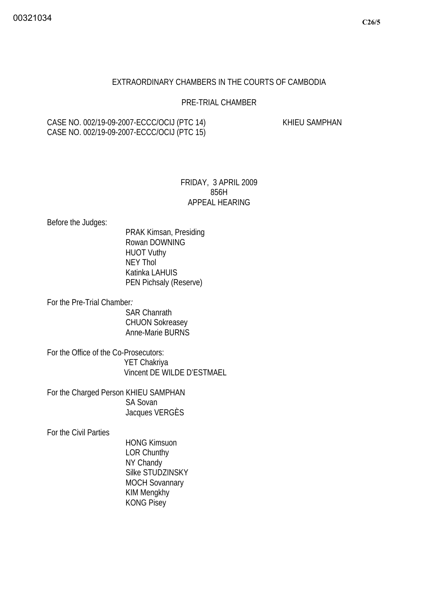## EXTRAORDINARY CHAMBERS IN THE COURTS OF CAMBODIA

## PRE-TRIAL CHAMBER

# CASE NO. 002/19-09-2007-ECCC/OCIJ (PTC 14) KHIEU SAMPHAN CASE NO. 002/19-09-2007-ECCC/OCIJ (PTC 15)

# FRIDAY, 3 APRIL 2009 856H APPEAL HEARING

Before the Judges:

 PRAK Kimsan, Presiding Rowan DOWNING HUOT Vuthy NEY Thol Katinka LAHUIS PEN Pichsaly (Reserve)

For the Pre-Trial Chamber*:* 

SAR Chanrath CHUON Sokreasey Anne-Marie BURNS

For the Office of the Co-Prosecutors: YET Chakriya Vincent DE WILDE D'ESTMAEL

For the Charged Person KHIEU SAMPHAN SA Sovan Jacques VERGÈS

For the Civil Parties

 HONG Kimsuon LOR Chunthy NY Chandy Silke STUDZINSKY MOCH Sovannary KIM Mengkhy KONG Pisey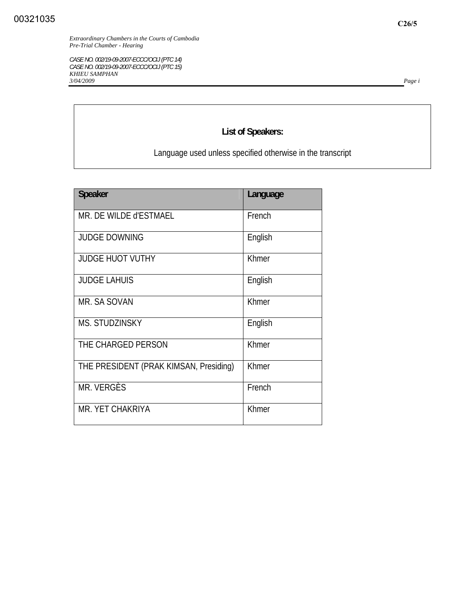*CASE NO. 002/19-09-2007-ECCC/OCIJ (PTC 14) CASE NO. 002/19-09-2007-ECCC/OCIJ (PTC 15) KHIEU SAMPHAN 3/04/2009 Page i*

# **List of Speakers:**

Language used unless specified otherwise in the transcript

| <b>Speaker</b>                         | Language     |
|----------------------------------------|--------------|
| MR. DE WILDE d'ESTMAEL                 | French       |
| <b>JUDGE DOWNING</b>                   | English      |
| <b>JUDGE HUOT VUTHY</b>                | <b>Khmer</b> |
| <b>JUDGE LAHUIS</b>                    | English      |
| MR. SA SOVAN                           | Khmer        |
| <b>MS. STUDZINSKY</b>                  | English      |
| THE CHARGED PERSON                     | Khmer        |
| THE PRESIDENT (PRAK KIMSAN, Presiding) | Khmer        |
| MR. VERGÈS                             | French       |
| MR. YET CHAKRIYA                       | Khmer        |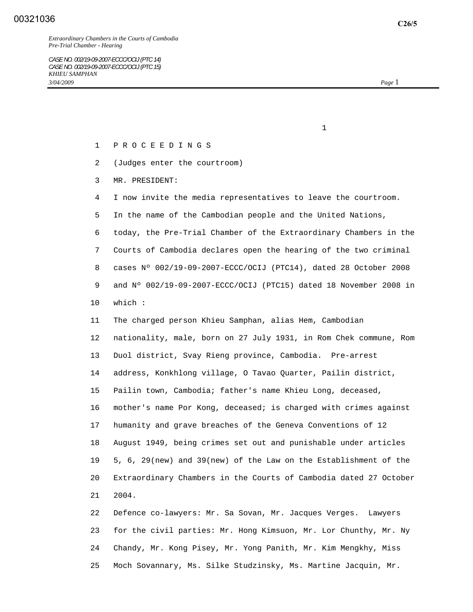*Extraordinary Chambers in the Courts of Cambodia Pre-Trial Chamber - Hearing* 

- 1 P R O C E E D I N G S
- 2 (Judges enter the courtroom)

 $1$ 

- 3 MR. PRESIDENT:
- 4 I now invite the media representatives to leave the courtroom.
- 5 In the name of the Cambodian people and the United Nations,

 6 today, the Pre-Trial Chamber of the Extraordinary Chambers in the 7 Courts of Cambodia declares open the hearing of the two criminal 8 cases Nº 002/19-09-2007-ECCC/OCIJ (PTC14), dated 28 October 2008 9 and Nº 002/19-09-2007-ECCC/OCIJ (PTC15) dated 18 November 2008 in 10 which :

 11 The charged person Khieu Samphan, alias Hem, Cambodian 12 nationality, male, born on 27 July 1931, in Rom Chek commune, Rom 13 Duol district, Svay Rieng province, Cambodia. Pre-arrest 14 address, Konkhlong village, O Tavao Quarter, Pailin district, 15 Pailin town, Cambodia; father's name Khieu Long, deceased, 16 mother's name Por Kong, deceased; is charged with crimes against 17 humanity and grave breaches of the Geneva Conventions of 12 18 August 1949, being crimes set out and punishable under articles 19 5, 6, 29(new) and 39(new) of the Law on the Establishment of the 20 Extraordinary Chambers in the Courts of Cambodia dated 27 October 21 2004.

 22 Defence co-lawyers: Mr. Sa Sovan, Mr. Jacques Verges. Lawyers 23 for the civil parties: Mr. Hong Kimsuon, Mr. Lor Chunthy, Mr. Ny 24 Chandy, Mr. Kong Pisey, Mr. Yong Panith, Mr. Kim Mengkhy, Miss 25 Moch Sovannary, Ms. Silke Studzinsky, Ms. Martine Jacquin, Mr.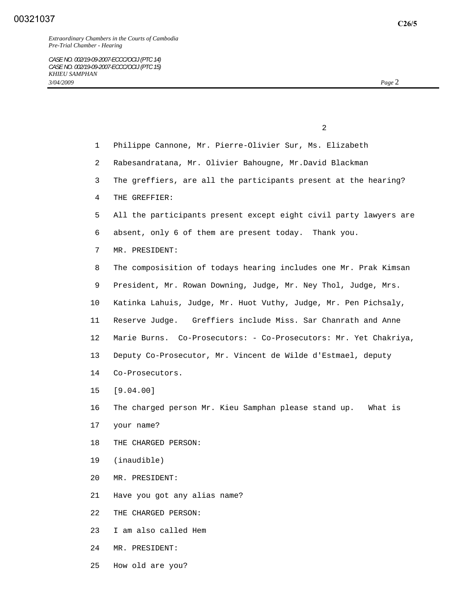|                 | 2                                                                 |
|-----------------|-------------------------------------------------------------------|
| $\mathbf{1}$    | Philippe Cannone, Mr. Pierre-Olivier Sur, Ms. Elizabeth           |
| $\overline{2}$  | Rabesandratana, Mr. Olivier Bahougne, Mr.David Blackman           |
| 3               | The greffiers, are all the participants present at the hearing?   |
| 4               | THE GREFFIER:                                                     |
| 5               | All the participants present except eight civil party lawyers are |
| 6               | absent, only 6 of them are present today. Thank you.              |
| 7               | MR. PRESIDENT:                                                    |
| 8               | The composisition of todays hearing includes one Mr. Prak Kimsan  |
| 9               | President, Mr. Rowan Downing, Judge, Mr. Ney Thol, Judge, Mrs.    |
| $10 \,$         | Katinka Lahuis, Judge, Mr. Huot Vuthy, Judge, Mr. Pen Pichsaly,   |
| 11              | Reserve Judge. Greffiers include Miss. Sar Chanrath and Anne      |
| $12 \,$         | Marie Burns. Co-Prosecutors: - Co-Prosecutors: Mr. Yet Chakriya,  |
| 13              | Deputy Co-Prosecutor, Mr. Vincent de Wilde d'Estmael, deputy      |
| 14              | Co-Prosecutors.                                                   |
| 15 <sub>1</sub> | [9.04.00]                                                         |
| 16              | The charged person Mr. Kieu Samphan please stand up.<br>What is   |

- 17 your name?
- 18 THE CHARGED PERSON:
- 19 (inaudible)
- 20 MR. PRESIDENT:
- 21 Have you got any alias name?
- 22 THE CHARGED PERSON:
- 23 I am also called Hem
- 24 MR. PRESIDENT:
- 25 How old are you?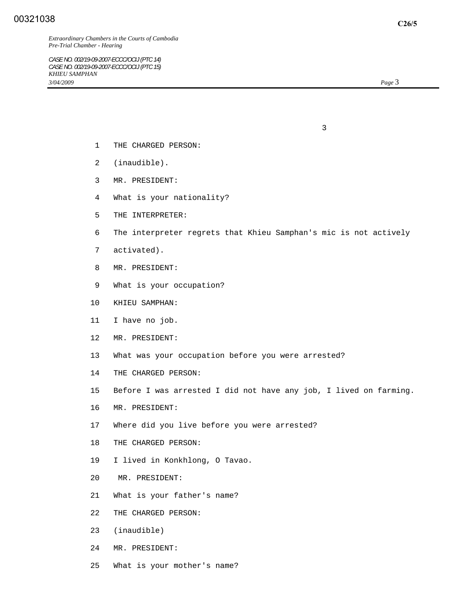*CASE NO. 002/19-09-2007-ECCC/OCIJ (PTC 14) CASE NO. 002/19-09-2007-ECCC/OCIJ (PTC 15) KHIEU SAMPHAN 3/04/2009 Page* 3

- 1 THE CHARGED PERSON:
- 2 (inaudible).
- 3 MR. PRESIDENT:
- 4 What is your nationality?

 $\sim$  3

- 5 THE INTERPRETER:
- 6 The interpreter regrets that Khieu Samphan's mic is not actively
- 7 activated).
- 8 MR. PRESIDENT:
- 9 What is your occupation?
- 10 KHIEU SAMPHAN:
- 11 I have no job.
- 12 MR. PRESIDENT:
- 13 What was your occupation before you were arrested?
- 14 THE CHARGED PERSON:
- 15 Before I was arrested I did not have any job, I lived on farming.
- 16 MR. PRESIDENT:
- 17 Where did you live before you were arrested?
- 18 THE CHARGED PERSON:
- 19 I lived in Konkhlong, O Tavao.
- 20 MR. PRESIDENT:
- 21 What is your father's name?
- 22 THE CHARGED PERSON:
- 23 (inaudible)
- 24 MR. PRESIDENT:
- 25 What is your mother's name?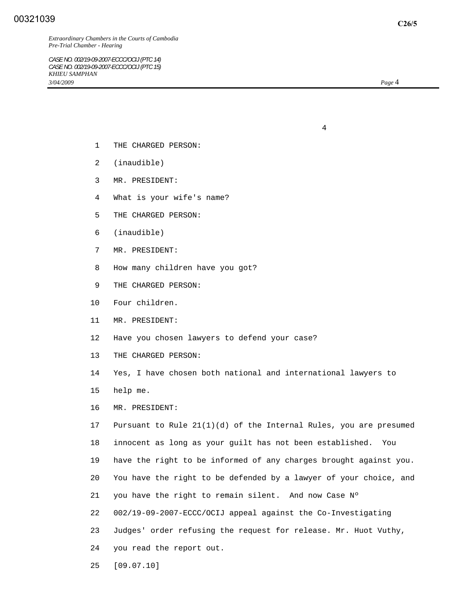*Extraordinary Chambers in the Courts of Cambodia Pre-Trial Chamber - Hearing* 

*CASE NO. 002/19-09-2007-ECCC/OCIJ (PTC 14) CASE NO. 002/19-09-2007-ECCC/OCIJ (PTC 15) KHIEU SAMPHAN 3/04/2009 Page* 4

- 1 THE CHARGED PERSON:
- 2 (inaudible)
- 3 MR. PRESIDENT:
- 4 What is your wife's name?

4

- 5 THE CHARGED PERSON:
- 6 (inaudible)
- 7 MR. PRESIDENT:
- 8 How many children have you got?
- 9 THE CHARGED PERSON:
- 10 Four children.
- 11 MR. PRESIDENT:
- 12 Have you chosen lawyers to defend your case?
- 13 THE CHARGED PERSON:
- 14 Yes, I have chosen both national and international lawyers to
- 15 help me.
- 16 MR. PRESIDENT:

 17 Pursuant to Rule 21(1)(d) of the Internal Rules, you are presumed 18 innocent as long as your guilt has not been established. You 19 have the right to be informed of any charges brought against you. 20 You have the right to be defended by a lawyer of your choice, and 21 you have the right to remain silent. And now Case Nº 22 002/19-09-2007-ECCC/OCIJ appeal against the Co-Investigating 23 Judges' order refusing the request for release. Mr. Huot Vuthy, 24 you read the report out.

25 [09.07.10]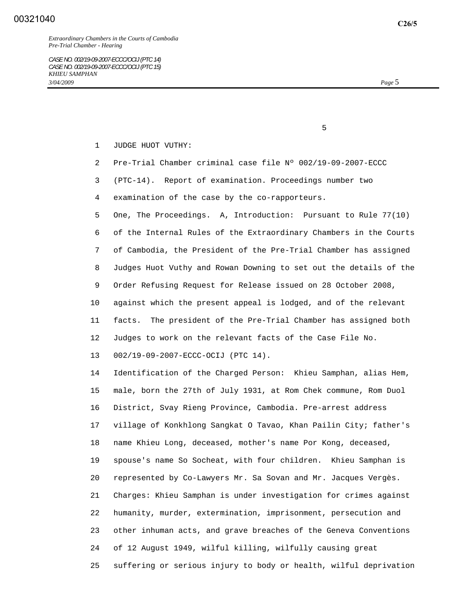*Extraordinary Chambers in the Courts of Cambodia Pre-Trial Chamber - Hearing* 

- 1 JUDGE HUOT VUTHY:
- 2 Pre-Trial Chamber criminal case file Nº 002/19-09-2007-ECCC
- 3 (PTC-14). Report of examination. Proceedings number two
- 4 examination of the case by the co-rapporteurs.

 $\sim$  5

 5 One, The Proceedings. A, Introduction: Pursuant to Rule 77(10) 6 of the Internal Rules of the Extraordinary Chambers in the Courts 7 of Cambodia, the President of the Pre-Trial Chamber has assigned 8 Judges Huot Vuthy and Rowan Downing to set out the details of the 9 Order Refusing Request for Release issued on 28 October 2008, 10 against which the present appeal is lodged, and of the relevant 11 facts. The president of the Pre-Trial Chamber has assigned both 12 Judges to work on the relevant facts of the Case File No.

13 002/19-09-2007-ECCC-OCIJ (PTC 14).

 14 Identification of the Charged Person: Khieu Samphan, alias Hem, 15 male, born the 27th of July 1931, at Rom Chek commune, Rom Duol 16 District, Svay Rieng Province, Cambodia. Pre-arrest address 17 village of Konkhlong Sangkat O Tavao, Khan Pailin City; father's 18 name Khieu Long, deceased, mother's name Por Kong, deceased, 19 spouse's name So Socheat, with four children. Khieu Samphan is 20 represented by Co-Lawyers Mr. Sa Sovan and Mr. Jacques Vergès. 21 Charges: Khieu Samphan is under investigation for crimes against 22 humanity, murder, extermination, imprisonment, persecution and 23 other inhuman acts, and grave breaches of the Geneva Conventions 24 of 12 August 1949, wilful killing, wilfully causing great 25 suffering or serious injury to body or health, wilful deprivation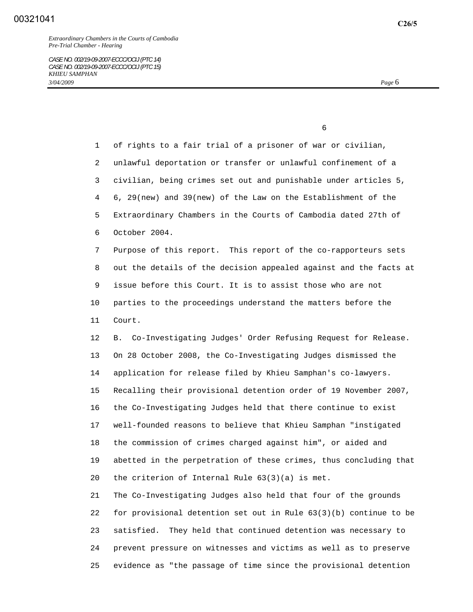$\sim$  6

 1 of rights to a fair trial of a prisoner of war or civilian, 2 unlawful deportation or transfer or unlawful confinement of a 3 civilian, being crimes set out and punishable under articles 5, 4 6, 29(new) and 39(new) of the Law on the Establishment of the 5 Extraordinary Chambers in the Courts of Cambodia dated 27th of 6 October 2004. 7 Purpose of this report. This report of the co-rapporteurs sets 8 out the details of the decision appealed against and the facts at 9 issue before this Court. It is to assist those who are not 10 parties to the proceedings understand the matters before the 11 Court. 12 B. Co-Investigating Judges' Order Refusing Request for Release. 13 On 28 October 2008, the Co-Investigating Judges dismissed the 14 application for release filed by Khieu Samphan's co-lawyers. 15 Recalling their provisional detention order of 19 November 2007, 16 the Co-Investigating Judges held that there continue to exist 17 well-founded reasons to believe that Khieu Samphan "instigated 18 the commission of crimes charged against him", or aided and 19 abetted in the perpetration of these crimes, thus concluding that 20 the criterion of Internal Rule 63(3)(a) is met. 21 The Co-Investigating Judges also held that four of the grounds 22 for provisional detention set out in Rule 63(3)(b) continue to be

 23 satisfied. They held that continued detention was necessary to 24 prevent pressure on witnesses and victims as well as to preserve 25 evidence as "the passage of time since the provisional detention

**C26/5**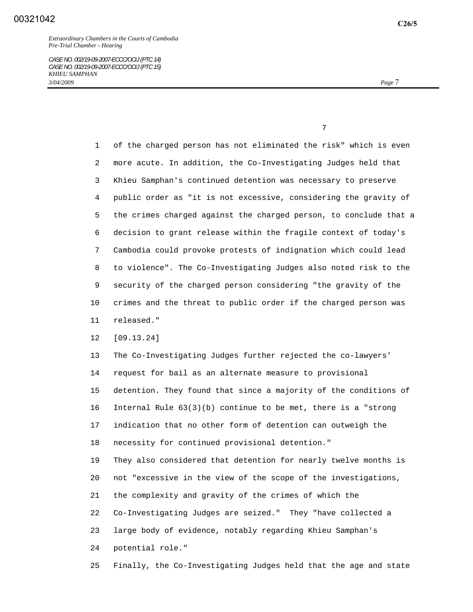1 of the charged person has not eliminated the risk" which is even 2 more acute. In addition, the Co-Investigating Judges held that 3 Khieu Samphan's continued detention was necessary to preserve 4 public order as "it is not excessive, considering the gravity of 5 the crimes charged against the charged person, to conclude that a 6 decision to grant release within the fragile context of today's 7 Cambodia could provoke protests of indignation which could lead 8 to violence". The Co-Investigating Judges also noted risk to the 9 security of the charged person considering "the gravity of the 10 crimes and the threat to public order if the charged person was 11 released."

12 [09.13.24]

 13 The Co-Investigating Judges further rejected the co-lawyers' 14 request for bail as an alternate measure to provisional 15 detention. They found that since a majority of the conditions of 16 Internal Rule 63(3)(b) continue to be met, there is a "strong 17 indication that no other form of detention can outweigh the 18 necessity for continued provisional detention."

 19 They also considered that detention for nearly twelve months is 20 not "excessive in the view of the scope of the investigations, 21 the complexity and gravity of the crimes of which the 22 Co-Investigating Judges are seized." They "have collected a 23 large body of evidence, notably regarding Khieu Samphan's 24 potential role."

25 Finally, the Co-Investigating Judges held that the age and state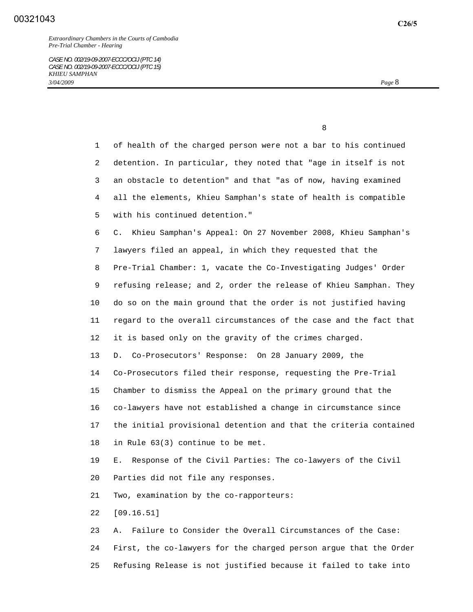1 of health of the charged person were not a bar to his continued 2 detention. In particular, they noted that "age in itself is not 3 an obstacle to detention" and that "as of now, having examined 4 all the elements, Khieu Samphan's state of health is compatible 5 with his continued detention." 6 C. Khieu Samphan's Appeal: On 27 November 2008, Khieu Samphan's 7 lawyers filed an appeal, in which they requested that the 8 Pre-Trial Chamber: 1, vacate the Co-Investigating Judges' Order 9 refusing release; and 2, order the release of Khieu Samphan. They 10 do so on the main ground that the order is not justified having 11 regard to the overall circumstances of the case and the fact that 12 it is based only on the gravity of the crimes charged. 13 D. Co-Prosecutors' Response: On 28 January 2009, the 14 Co-Prosecutors filed their response, requesting the Pre-Trial 15 Chamber to dismiss the Appeal on the primary ground that the 16 co-lawyers have not established a change in circumstance since 17 the initial provisional detention and that the criteria contained 18 in Rule 63(3) continue to be met. 19 E. Response of the Civil Parties: The co-lawyers of the Civil 20 Parties did not file any responses. 21 Two, examination by the co-rapporteurs: 22 [09.16.51] 23 A. Failure to Consider the Overall Circumstances of the Case: 24 First, the co-lawyers for the charged person argue that the Order

25 Refusing Release is not justified because it failed to take into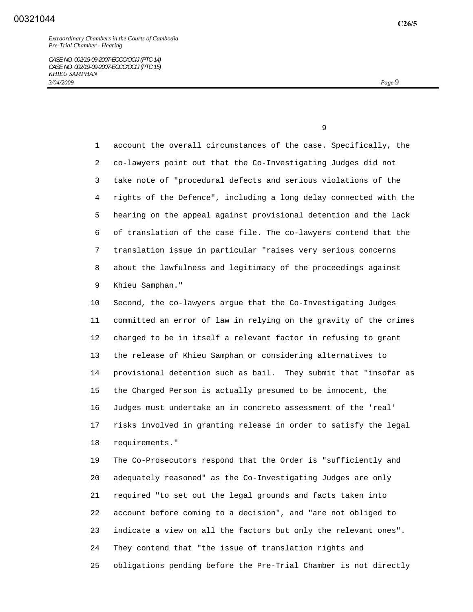1 account the overall circumstances of the case. Specifically, the 2 co-lawyers point out that the Co-Investigating Judges did not 3 take note of "procedural defects and serious violations of the 4 rights of the Defence", including a long delay connected with the 5 hearing on the appeal against provisional detention and the lack 6 of translation of the case file. The co-lawyers contend that the 7 translation issue in particular "raises very serious concerns 8 about the lawfulness and legitimacy of the proceedings against 9 Khieu Samphan."

 10 Second, the co-lawyers argue that the Co-Investigating Judges 11 committed an error of law in relying on the gravity of the crimes 12 charged to be in itself a relevant factor in refusing to grant 13 the release of Khieu Samphan or considering alternatives to 14 provisional detention such as bail. They submit that "insofar as 15 the Charged Person is actually presumed to be innocent, the 16 Judges must undertake an in concreto assessment of the 'real' 17 risks involved in granting release in order to satisfy the legal 18 requirements."

 19 The Co-Prosecutors respond that the Order is "sufficiently and 20 adequately reasoned" as the Co-Investigating Judges are only 21 required "to set out the legal grounds and facts taken into 22 account before coming to a decision", and "are not obliged to 23 indicate a view on all the factors but only the relevant ones". 24 They contend that "the issue of translation rights and 25 obligations pending before the Pre-Trial Chamber is not directly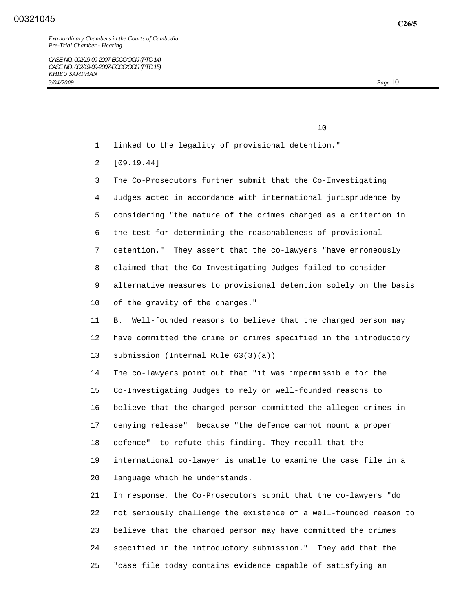*Extraordinary Chambers in the Courts of Cambodia Pre-Trial Chamber - Hearing* 

*CASE NO. 002/19-09-2007-ECCC/OCIJ (PTC 14) CASE NO. 002/19-09-2007-ECCC/OCIJ (PTC 15) KHIEU SAMPHAN 3/04/2009 Page* 10

10

1 linked to the legality of provisional detention."

2 [09.19.44]

 3 The Co-Prosecutors further submit that the Co-Investigating 4 Judges acted in accordance with international jurisprudence by 5 considering "the nature of the crimes charged as a criterion in 6 the test for determining the reasonableness of provisional 7 detention." They assert that the co-lawyers "have erroneously 8 claimed that the Co-Investigating Judges failed to consider 9 alternative measures to provisional detention solely on the basis 10 of the gravity of the charges."

 11 B. Well-founded reasons to believe that the charged person may 12 have committed the crime or crimes specified in the introductory 13 submission (Internal Rule 63(3)(a))

 14 The co-lawyers point out that "it was impermissible for the 15 Co-Investigating Judges to rely on well-founded reasons to 16 believe that the charged person committed the alleged crimes in 17 denying release" because "the defence cannot mount a proper 18 defence" to refute this finding. They recall that the 19 international co-lawyer is unable to examine the case file in a 20 language which he understands.

 21 In response, the Co-Prosecutors submit that the co-lawyers "do 22 not seriously challenge the existence of a well-founded reason to 23 believe that the charged person may have committed the crimes 24 specified in the introductory submission." They add that the 25 "case file today contains evidence capable of satisfying an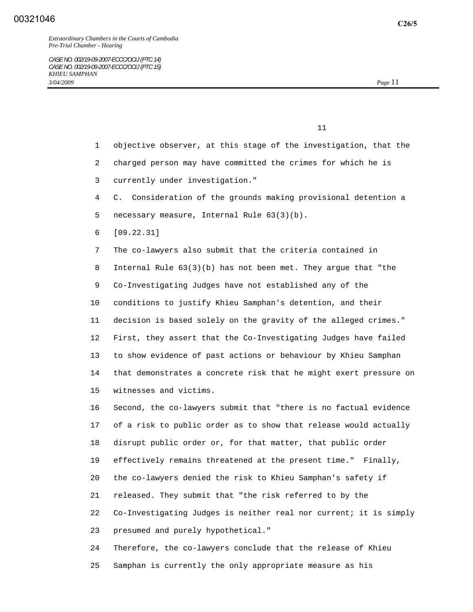- 1 objective observer, at this stage of the investigation, that the
- 2 charged person may have committed the crimes for which he is
- 3 currently under investigation."
- 4 C. Consideration of the grounds making provisional detention a
- 5 necessary measure, Internal Rule 63(3)(b).
- 6 [09.22.31]

 7 The co-lawyers also submit that the criteria contained in 8 Internal Rule 63(3)(b) has not been met. They argue that "the 9 Co-Investigating Judges have not established any of the 10 conditions to justify Khieu Samphan's detention, and their 11 decision is based solely on the gravity of the alleged crimes." 12 First, they assert that the Co-Investigating Judges have failed 13 to show evidence of past actions or behaviour by Khieu Samphan 14 that demonstrates a concrete risk that he might exert pressure on 15 witnesses and victims.

 16 Second, the co-lawyers submit that "there is no factual evidence 17 of a risk to public order as to show that release would actually 18 disrupt public order or, for that matter, that public order 19 effectively remains threatened at the present time." Finally, 20 the co-lawyers denied the risk to Khieu Samphan's safety if 21 released. They submit that "the risk referred to by the 22 Co-Investigating Judges is neither real nor current; it is simply 23 presumed and purely hypothetical."

 24 Therefore, the co-lawyers conclude that the release of Khieu 25 Samphan is currently the only appropriate measure as his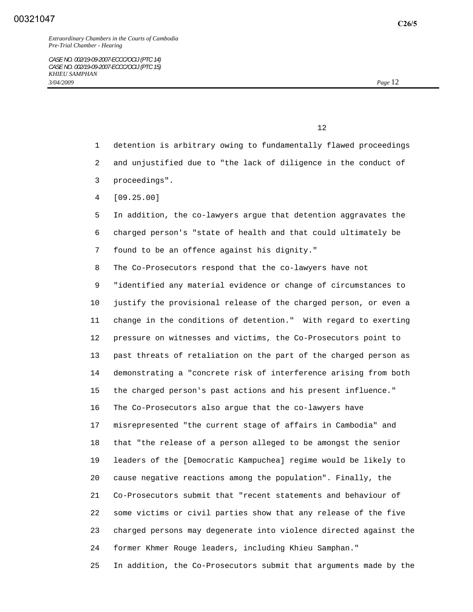*Extraordinary Chambers in the Courts of Cambodia Pre-Trial Chamber - Hearing* 

 $12$ 

- 1 detention is arbitrary owing to fundamentally flawed proceedings
- 2 and unjustified due to "the lack of diligence in the conduct of
- 3 proceedings".
- 4 [09.25.00]

 5 In addition, the co-lawyers argue that detention aggravates the 6 charged person's "state of health and that could ultimately be 7 found to be an offence against his dignity."

8 The Co-Prosecutors respond that the co-lawyers have not

 9 "identified any material evidence or change of circumstances to 10 justify the provisional release of the charged person, or even a 11 change in the conditions of detention." With regard to exerting 12 pressure on witnesses and victims, the Co-Prosecutors point to 13 past threats of retaliation on the part of the charged person as 14 demonstrating a "concrete risk of interference arising from both 15 the charged person's past actions and his present influence." 16 The Co-Prosecutors also argue that the co-lawyers have 17 misrepresented "the current stage of affairs in Cambodia" and 18 that "the release of a person alleged to be amongst the senior 19 leaders of the [Democratic Kampuchea] regime would be likely to 20 cause negative reactions among the population". Finally, the 21 Co-Prosecutors submit that "recent statements and behaviour of 22 some victims or civil parties show that any release of the five 23 charged persons may degenerate into violence directed against the 24 former Khmer Rouge leaders, including Khieu Samphan."

25 In addition, the Co-Prosecutors submit that arguments made by the

**C26/5**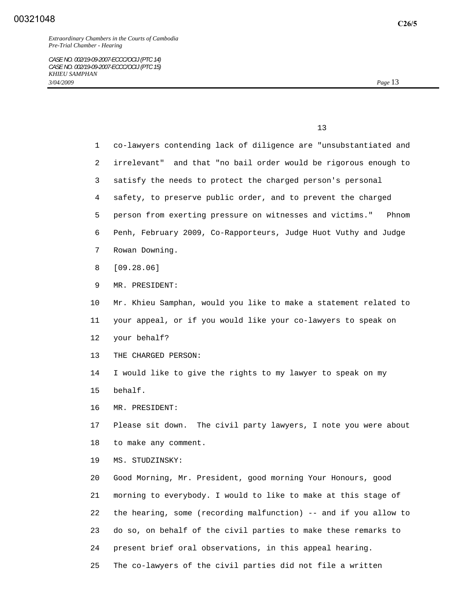*Extraordinary Chambers in the Courts of Cambodia Pre-Trial Chamber - Hearing* 

*CASE NO. 002/19-09-2007-ECCC/OCIJ (PTC 14) CASE NO. 002/19-09-2007-ECCC/OCIJ (PTC 15) KHIEU SAMPHAN 3/04/2009 Page* 13

 $13$ 

 1 co-lawyers contending lack of diligence are "unsubstantiated and 2 irrelevant" and that "no bail order would be rigorous enough to 3 satisfy the needs to protect the charged person's personal 4 safety, to preserve public order, and to prevent the charged 5 person from exerting pressure on witnesses and victims." Phnom 6 Penh, February 2009, Co-Rapporteurs, Judge Huot Vuthy and Judge 7 Rowan Downing. 8 [09.28.06] 9 MR. PRESIDENT: 10 Mr. Khieu Samphan, would you like to make a statement related to 11 your appeal, or if you would like your co-lawyers to speak on 12 your behalf? 13 THE CHARGED PERSON: 14 I would like to give the rights to my lawyer to speak on my 15 behalf. 16 MR. PRESIDENT: 17 Please sit down. The civil party lawyers, I note you were about 18 to make any comment. 19 MS. STUDZINSKY: 20 Good Morning, Mr. President, good morning Your Honours, good 21 morning to everybody. I would to like to make at this stage of 22 the hearing, some (recording malfunction) -- and if you allow to 23 do so, on behalf of the civil parties to make these remarks to 24 present brief oral observations, in this appeal hearing. 25 The co-lawyers of the civil parties did not file a written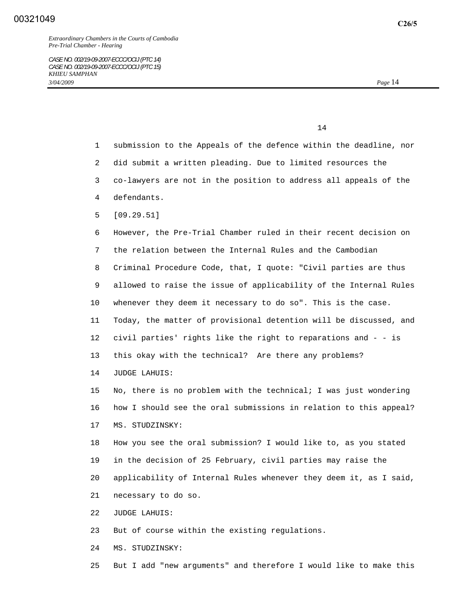- 1 submission to the Appeals of the defence within the deadline, nor
- 2 did submit a written pleading. Due to limited resources the
- 3 co-lawyers are not in the position to address all appeals of the
- 4 defendants.
- 5 [09.29.51]

 6 However, the Pre-Trial Chamber ruled in their recent decision on 7 the relation between the Internal Rules and the Cambodian 8 Criminal Procedure Code, that, I quote: "Civil parties are thus 9 allowed to raise the issue of applicability of the Internal Rules 10 whenever they deem it necessary to do so". This is the case. 11 Today, the matter of provisional detention will be discussed, and 12 civil parties' rights like the right to reparations and - - is 13 this okay with the technical? Are there any problems?

14 JUDGE LAHUIS:

 15 No, there is no problem with the technical; I was just wondering 16 how I should see the oral submissions in relation to this appeal? 17 MS. STUDZINSKY:

 18 How you see the oral submission? I would like to, as you stated 19 in the decision of 25 February, civil parties may raise the 20 applicability of Internal Rules whenever they deem it, as I said, 21 necessary to do so.

22 JUDGE LAHUIS:

23 But of course within the existing regulations.

24 MS. STUDZINSKY:

25 But I add "new arguments" and therefore I would like to make this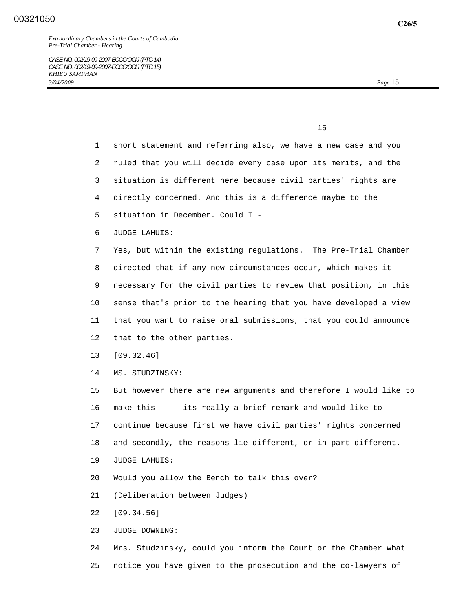|  | 15<br>___ |
|--|-----------|
|  |           |

- 1 short statement and referring also, we have a new case and you 2 ruled that you will decide every case upon its merits, and the 3 situation is different here because civil parties' rights are 4 directly concerned. And this is a difference maybe to the 5 situation in December. Could I - 6 JUDGE LAHUIS: 7 Yes, but within the existing regulations. The Pre-Trial Chamber 8 directed that if any new circumstances occur, which makes it 9 necessary for the civil parties to review that position, in this 10 sense that's prior to the hearing that you have developed a view 11 that you want to raise oral submissions, that you could announce 12 that to the other parties. 13 [09.32.46] 14 MS. STUDZINSKY: 15 But however there are new arguments and therefore I would like to 16 make this - - its really a brief remark and would like to 17 continue because first we have civil parties' rights concerned 18 and secondly, the reasons lie different, or in part different. 19 JUDGE LAHUIS: 20 Would you allow the Bench to talk this over? 21 (Deliberation between Judges) 22 [09.34.56] 23 JUDGE DOWNING: 24 Mrs. Studzinsky, could you inform the Court or the Chamber what
- 25 notice you have given to the prosecution and the co-lawyers of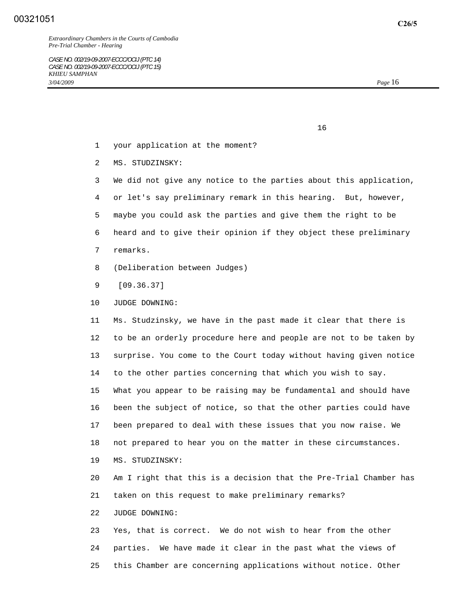*Extraordinary Chambers in the Courts of Cambodia Pre-Trial Chamber - Hearing* 

*CASE NO. 002/19-09-2007-ECCC/OCIJ (PTC 14) CASE NO. 002/19-09-2007-ECCC/OCIJ (PTC 15) KHIEU SAMPHAN 3/04/2009 Page* 16

 $16$ 

- 1 your application at the moment?
- 2 MS. STUDZINSKY:
- 3 We did not give any notice to the parties about this application,
- 4 or let's say preliminary remark in this hearing. But, however,
- 5 maybe you could ask the parties and give them the right to be
- 6 heard and to give their opinion if they object these preliminary
- 7 remarks.
- 8 (Deliberation between Judges)
- 9 [09.36.37]
- 10 JUDGE DOWNING:

 11 Ms. Studzinsky, we have in the past made it clear that there is 12 to be an orderly procedure here and people are not to be taken by 13 surprise. You come to the Court today without having given notice 14 to the other parties concerning that which you wish to say. 15 What you appear to be raising may be fundamental and should have 16 been the subject of notice, so that the other parties could have 17 been prepared to deal with these issues that you now raise. We 18 not prepared to hear you on the matter in these circumstances. 19 MS. STUDZINSKY: 20 Am I right that this is a decision that the Pre-Trial Chamber has 21 taken on this request to make preliminary remarks?

22 JUDGE DOWNING:

 23 Yes, that is correct. We do not wish to hear from the other 24 parties. We have made it clear in the past what the views of 25 this Chamber are concerning applications without notice. Other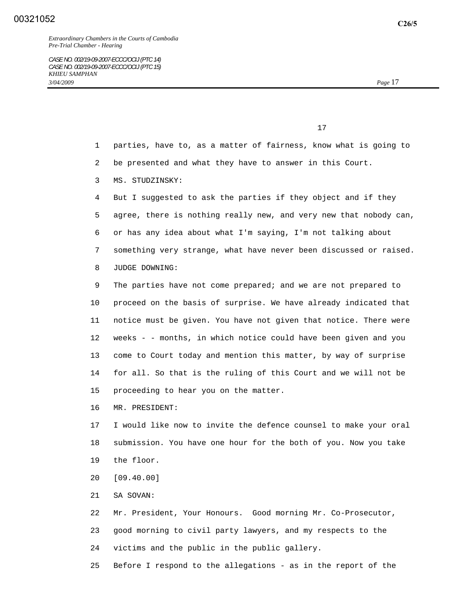17

1 parties, have to, as a matter of fairness, know what is going to

2 be presented and what they have to answer in this Court.

3 MS. STUDZINSKY:

 4 But I suggested to ask the parties if they object and if they 5 agree, there is nothing really new, and very new that nobody can, 6 or has any idea about what I'm saying, I'm not talking about 7 something very strange, what have never been discussed or raised. 8 JUDGE DOWNING:

 9 The parties have not come prepared; and we are not prepared to 10 proceed on the basis of surprise. We have already indicated that 11 notice must be given. You have not given that notice. There were 12 weeks - - months, in which notice could have been given and you 13 come to Court today and mention this matter, by way of surprise 14 for all. So that is the ruling of this Court and we will not be 15 proceeding to hear you on the matter.

16 MR. PRESIDENT:

 17 I would like now to invite the defence counsel to make your oral 18 submission. You have one hour for the both of you. Now you take 19 the floor.

20 [09.40.00]

21 SA SOVAN:

 22 Mr. President, Your Honours. Good morning Mr. Co-Prosecutor, 23 good morning to civil party lawyers, and my respects to the 24 victims and the public in the public gallery.

25 Before I respond to the allegations - as in the report of the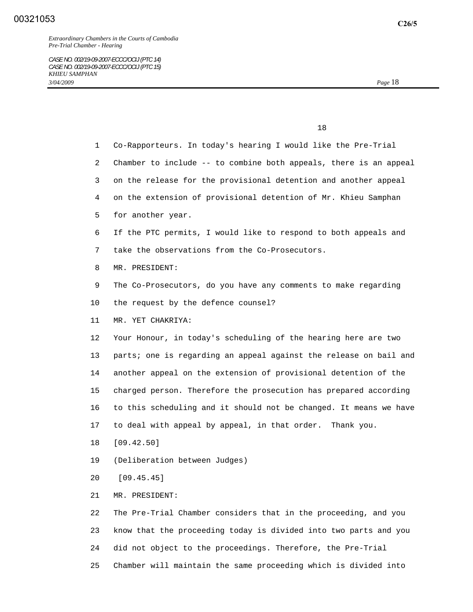| 1  | Co-Rapporteurs. In today's hearing I would like the Pre-Trial     |
|----|-------------------------------------------------------------------|
| 2  | Chamber to include -- to combine both appeals, there is an appeal |
| 3  | on the release for the provisional detention and another appeal   |
| 4  | on the extension of provisional detention of Mr. Khieu Samphan    |
| 5. | for another year.                                                 |
| 6  | If the PTC permits, I would like to respond to both appeals and   |
| 7  | take the observations from the Co-Prosecutors.                    |
| 8  | MR. PRESIDENT:                                                    |
| 9  | The Co-Prosecutors, do you have any comments to make regarding    |
| 10 | the request by the defence counsel?                               |
| 11 | MR. YET CHAKRIYA:                                                 |
| 12 | Your Honour, in today's scheduling of the hearing here are two    |
| 13 | parts; one is regarding an appeal against the release on bail and |
| 14 | another appeal on the extension of provisional detention of the   |
| 15 | charged person. Therefore the prosecution has prepared according  |
| 16 | to this scheduling and it should not be changed. It means we have |
| 17 | to deal with appeal by appeal, in that order. Thank you.          |
| 18 | [09.42.50]                                                        |
| 19 | (Deliberation between Judges)                                     |
| 20 | [09.45.45]                                                        |
| 21 | MR. PRESIDENT:                                                    |
| 22 | The Pre-Trial Chamber considers that in the proceeding, and you   |
| 23 | know that the proceeding today is divided into two parts and you  |
| 24 | did not object to the proceedings. Therefore, the Pre-Trial       |

25 Chamber will maintain the same proceeding which is divided into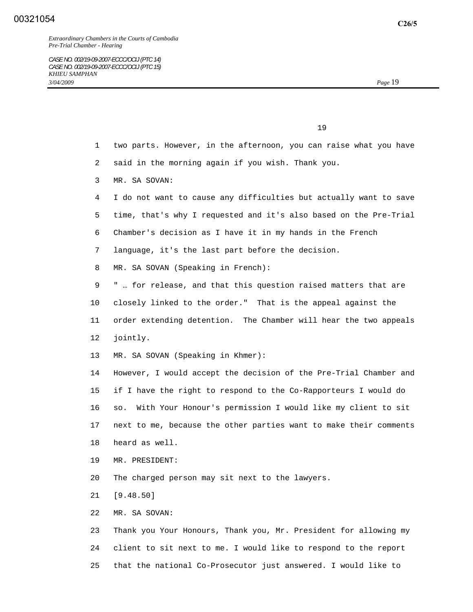*Extraordinary Chambers in the Courts of Cambodia Pre-Trial Chamber - Hearing* 

 $19$ 

 2 said in the morning again if you wish. Thank you. 3 MR. SA SOVAN: 4 I do not want to cause any difficulties but actually want to save 5 time, that's why I requested and it's also based on the Pre-Trial 6 Chamber's decision as I have it in my hands in the French 7 language, it's the last part before the decision.

1 two parts. However, in the afternoon, you can raise what you have

- 8 MR. SA SOVAN (Speaking in French):
- 9 " … for release, and that this question raised matters that are 10 closely linked to the order." That is the appeal against the 11 order extending detention. The Chamber will hear the two appeals 12 jointly.
- 13 MR. SA SOVAN (Speaking in Khmer):

 14 However, I would accept the decision of the Pre-Trial Chamber and 15 if I have the right to respond to the Co-Rapporteurs I would do 16 so. With Your Honour's permission I would like my client to sit 17 next to me, because the other parties want to make their comments 18 heard as well.

- 19 MR. PRESIDENT:
- 20 The charged person may sit next to the lawyers.
- 21 [9.48.50]
- 22 MR. SA SOVAN:

 23 Thank you Your Honours, Thank you, Mr. President for allowing my 24 client to sit next to me. I would like to respond to the report 25 that the national Co-Prosecutor just answered. I would like to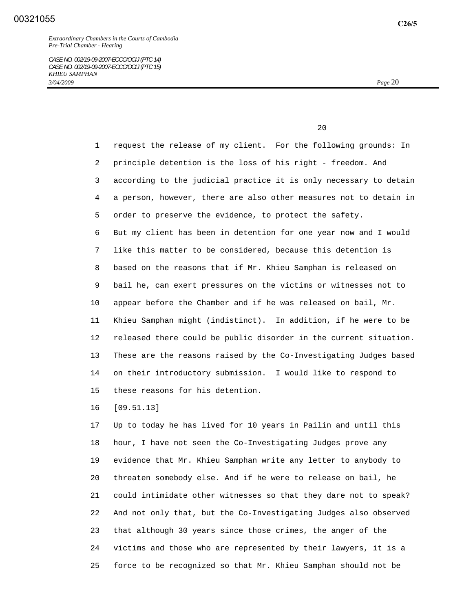20 and 20 and 20 and 20 and 20 and 20 and 20 and 20 and 20 and 20 and 20 and 20 and 20 and 20 and 20 and 20 and 20 and 20 and 20 and 20 and 20 and 20 and 20 and 20 and 20 and 20 and 20 and 20 and 20 and 20 and 20 and 20 an

 1 request the release of my client. For the following grounds: In 2 principle detention is the loss of his right - freedom. And 3 according to the judicial practice it is only necessary to detain 4 a person, however, there are also other measures not to detain in 5 order to preserve the evidence, to protect the safety. 6 But my client has been in detention for one year now and I would 7 like this matter to be considered, because this detention is 8 based on the reasons that if Mr. Khieu Samphan is released on 9 bail he, can exert pressures on the victims or witnesses not to 10 appear before the Chamber and if he was released on bail, Mr. 11 Khieu Samphan might (indistinct). In addition, if he were to be 12 released there could be public disorder in the current situation. 13 These are the reasons raised by the Co-Investigating Judges based 14 on their introductory submission. I would like to respond to 15 these reasons for his detention.

16 [09.51.13]

 17 Up to today he has lived for 10 years in Pailin and until this 18 hour, I have not seen the Co-Investigating Judges prove any 19 evidence that Mr. Khieu Samphan write any letter to anybody to 20 threaten somebody else. And if he were to release on bail, he 21 could intimidate other witnesses so that they dare not to speak? 22 And not only that, but the Co-Investigating Judges also observed 23 that although 30 years since those crimes, the anger of the 24 victims and those who are represented by their lawyers, it is a 25 force to be recognized so that Mr. Khieu Samphan should not be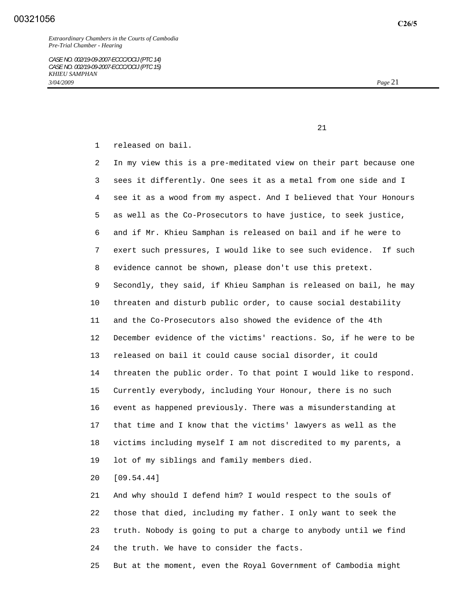1 released on bail.

 2 In my view this is a pre-meditated view on their part because one 3 sees it differently. One sees it as a metal from one side and I 4 see it as a wood from my aspect. And I believed that Your Honours 5 as well as the Co-Prosecutors to have justice, to seek justice, 6 and if Mr. Khieu Samphan is released on bail and if he were to 7 exert such pressures, I would like to see such evidence. If such 8 evidence cannot be shown, please don't use this pretext. 9 Secondly, they said, if Khieu Samphan is released on bail, he may 10 threaten and disturb public order, to cause social destability 11 and the Co-Prosecutors also showed the evidence of the 4th 12 December evidence of the victims' reactions. So, if he were to be 13 released on bail it could cause social disorder, it could 14 threaten the public order. To that point I would like to respond. 15 Currently everybody, including Your Honour, there is no such 16 event as happened previously. There was a misunderstanding at 17 that time and I know that the victims' lawyers as well as the 18 victims including myself I am not discredited to my parents, a 19 lot of my siblings and family members died.

20 [09.54.44]

 21 And why should I defend him? I would respect to the souls of 22 those that died, including my father. I only want to seek the 23 truth. Nobody is going to put a charge to anybody until we find 24 the truth. We have to consider the facts.

25 But at the moment, even the Royal Government of Cambodia might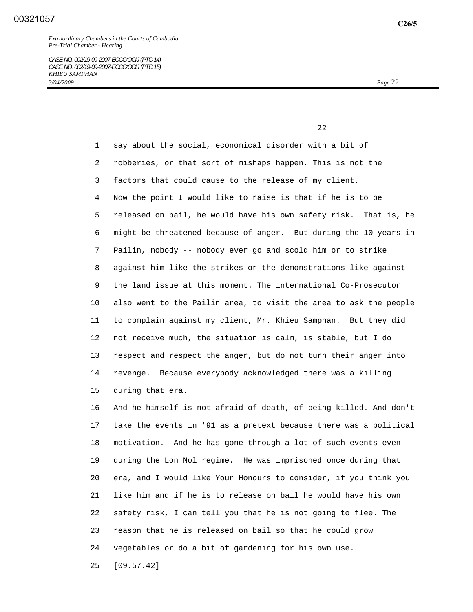22 and 23 and 23 and 23 and 23 and 23 and 23 and 23 and 23 and 23 and 23 and 23 and 23 and 23 and 23 and 23 and 24 and 25 and 26 and 26 and 26 and 26 and 26 and 26 and 26 and 26 and 26 and 26 and 26 and 26 and 26 and 26 an

 1 say about the social, economical disorder with a bit of 2 robberies, or that sort of mishaps happen. This is not the 3 factors that could cause to the release of my client. 4 Now the point I would like to raise is that if he is to be 5 released on bail, he would have his own safety risk. That is, he 6 might be threatened because of anger. But during the 10 years in 7 Pailin, nobody -- nobody ever go and scold him or to strike 8 against him like the strikes or the demonstrations like against 9 the land issue at this moment. The international Co-Prosecutor 10 also went to the Pailin area, to visit the area to ask the people 11 to complain against my client, Mr. Khieu Samphan. But they did 12 not receive much, the situation is calm, is stable, but I do 13 respect and respect the anger, but do not turn their anger into 14 revenge. Because everybody acknowledged there was a killing 15 during that era.

 16 And he himself is not afraid of death, of being killed. And don't 17 take the events in '91 as a pretext because there was a political 18 motivation. And he has gone through a lot of such events even 19 during the Lon Nol regime. He was imprisoned once during that 20 era, and I would like Your Honours to consider, if you think you 21 like him and if he is to release on bail he would have his own 22 safety risk, I can tell you that he is not going to flee. The 23 reason that he is released on bail so that he could grow 24 vegetables or do a bit of gardening for his own use.

25 [09.57.42]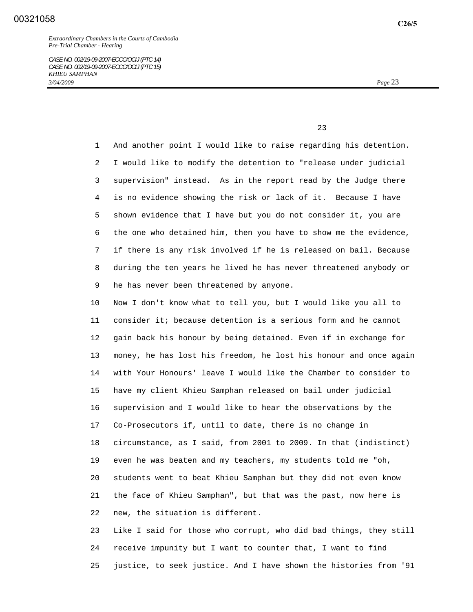23 and 23 and 23 and 23 and 23 and 23 and 23 and 23 and 23 and 23 and 23 and 23 and 23 and 23 and 23 and 23 and 23 and 24 and 25 and 25 and 25 and 26 and 26 and 26 and 26 and 26 and 26 and 26 and 26 and 26 and 26 and 26 an

 1 And another point I would like to raise regarding his detention. 2 I would like to modify the detention to "release under judicial 3 supervision" instead. As in the report read by the Judge there 4 is no evidence showing the risk or lack of it. Because I have 5 shown evidence that I have but you do not consider it, you are 6 the one who detained him, then you have to show me the evidence, 7 if there is any risk involved if he is released on bail. Because 8 during the ten years he lived he has never threatened anybody or 9 he has never been threatened by anyone.

 10 Now I don't know what to tell you, but I would like you all to 11 consider it; because detention is a serious form and he cannot 12 gain back his honour by being detained. Even if in exchange for 13 money, he has lost his freedom, he lost his honour and once again 14 with Your Honours' leave I would like the Chamber to consider to 15 have my client Khieu Samphan released on bail under judicial 16 supervision and I would like to hear the observations by the 17 Co-Prosecutors if, until to date, there is no change in 18 circumstance, as I said, from 2001 to 2009. In that (indistinct) 19 even he was beaten and my teachers, my students told me "oh, 20 students went to beat Khieu Samphan but they did not even know 21 the face of Khieu Samphan", but that was the past, now here is 22 new, the situation is different.

 23 Like I said for those who corrupt, who did bad things, they still 24 receive impunity but I want to counter that, I want to find 25 justice, to seek justice. And I have shown the histories from '91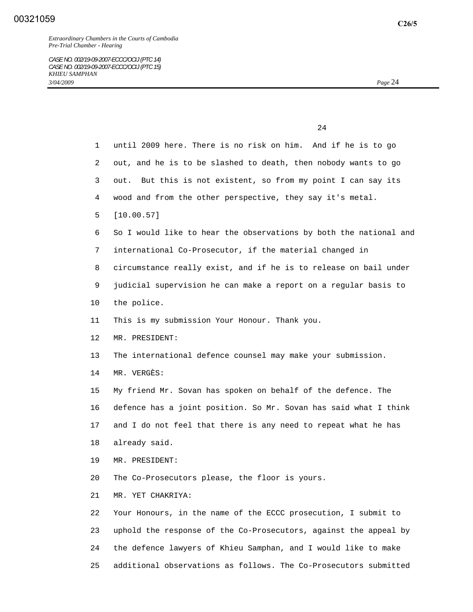| $\mathbf{1}$    | until 2009 here. There is no risk on him. And if he is to go      |
|-----------------|-------------------------------------------------------------------|
| 2               | out, and he is to be slashed to death, then nobody wants to go    |
| 3               | out. But this is not existent, so from my point I can say its     |
| 4               | wood and from the other perspective, they say it's metal.         |
| 5               | [10.00.57]                                                        |
| 6               | So I would like to hear the observations by both the national and |
| 7               | international Co-Prosecutor, if the material changed in           |
| 8               | circumstance really exist, and if he is to release on bail under  |
| 9               | judicial supervision he can make a report on a regular basis to   |
| 10              | the police.                                                       |
| 11              | This is my submission Your Honour. Thank you.                     |
| 12 <sup>°</sup> | MR. PRESIDENT:                                                    |
| 13              | The international defence counsel may make your submission.       |
| 14              | MR. VERGÈS:                                                       |
| 15              | My friend Mr. Sovan has spoken on behalf of the defence. The      |
| 16              | defence has a joint position. So Mr. Sovan has said what I think  |
| 17              | and I do not feel that there is any need to repeat what he has    |
| 18              | already said.                                                     |
| 19              | MR. PRESIDENT:                                                    |
| 20              | The Co-Prosecutors please, the floor is yours.                    |
| 21              | MR. YET CHAKRIYA:                                                 |
| 22              | Your Honours, in the name of the ECCC prosecution, I submit to    |
| 23              | uphold the response of the Co-Prosecutors, against the appeal by  |
| 24              | the defence lawyers of Khieu Samphan, and I would like to make    |
| 25              | additional observations as follows. The Co-Prosecutors submitted  |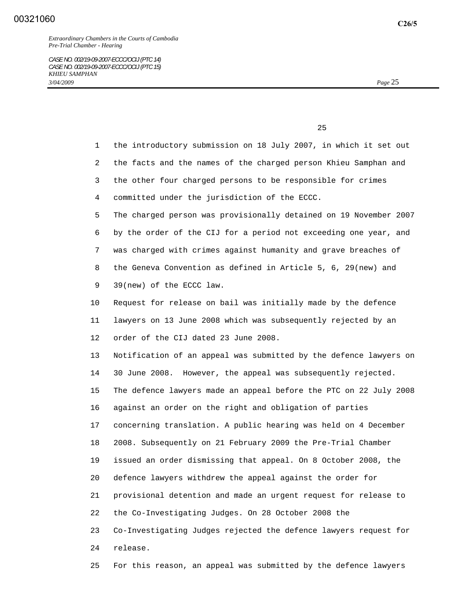**C26/5**

25 and 25

 1 the introductory submission on 18 July 2007, in which it set out 2 the facts and the names of the charged person Khieu Samphan and 3 the other four charged persons to be responsible for crimes 4 committed under the jurisdiction of the ECCC. 5 The charged person was provisionally detained on 19 November 2007 6 by the order of the CIJ for a period not exceeding one year, and 7 was charged with crimes against humanity and grave breaches of 8 the Geneva Convention as defined in Article 5, 6, 29(new) and 9 39(new) of the ECCC law. 10 Request for release on bail was initially made by the defence 11 lawyers on 13 June 2008 which was subsequently rejected by an 12 order of the CIJ dated 23 June 2008. 13 Notification of an appeal was submitted by the defence lawyers on 14 30 June 2008. However, the appeal was subsequently rejected. 15 The defence lawyers made an appeal before the PTC on 22 July 2008 16 against an order on the right and obligation of parties 17 concerning translation. A public hearing was held on 4 December 18 2008. Subsequently on 21 February 2009 the Pre-Trial Chamber 19 issued an order dismissing that appeal. On 8 October 2008, the 20 defence lawyers withdrew the appeal against the order for 21 provisional detention and made an urgent request for release to 22 the Co-Investigating Judges. On 28 October 2008 the 23 Co-Investigating Judges rejected the defence lawyers request for 24 release.

25 For this reason, an appeal was submitted by the defence lawyers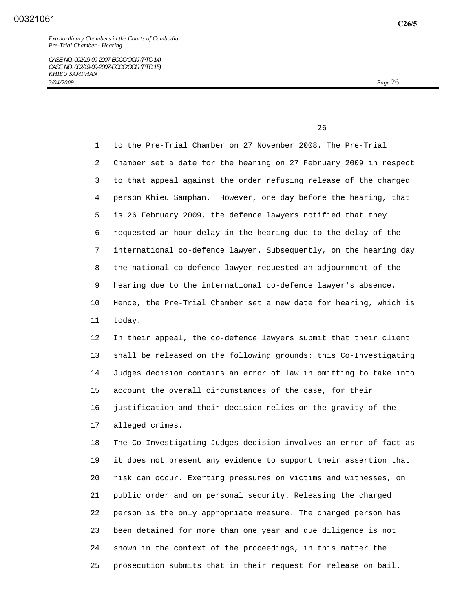<u>26</u>

 1 to the Pre-Trial Chamber on 27 November 2008. The Pre-Trial 2 Chamber set a date for the hearing on 27 February 2009 in respect 3 to that appeal against the order refusing release of the charged 4 person Khieu Samphan. However, one day before the hearing, that 5 is 26 February 2009, the defence lawyers notified that they 6 requested an hour delay in the hearing due to the delay of the 7 international co-defence lawyer. Subsequently, on the hearing day 8 the national co-defence lawyer requested an adjournment of the 9 hearing due to the international co-defence lawyer's absence. 10 Hence, the Pre-Trial Chamber set a new date for hearing, which is 11 today.

 12 In their appeal, the co-defence lawyers submit that their client 13 shall be released on the following grounds: this Co-Investigating 14 Judges decision contains an error of law in omitting to take into 15 account the overall circumstances of the case, for their 16 justification and their decision relies on the gravity of the 17 alleged crimes.

 18 The Co-Investigating Judges decision involves an error of fact as 19 it does not present any evidence to support their assertion that 20 risk can occur. Exerting pressures on victims and witnesses, on 21 public order and on personal security. Releasing the charged 22 person is the only appropriate measure. The charged person has 23 been detained for more than one year and due diligence is not 24 shown in the context of the proceedings, in this matter the 25 prosecution submits that in their request for release on bail.

**C26/5**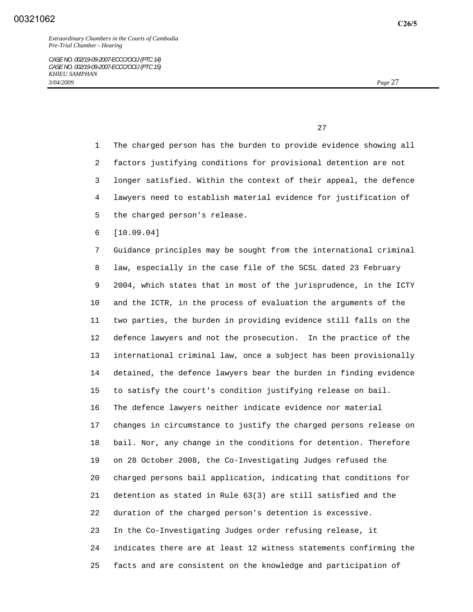1 The charged person has the burden to provide evidence showing all 2 factors justifying conditions for provisional detention are not 3 longer satisfied. Within the context of their appeal, the defence 4 lawyers need to establish material evidence for justification of 5 the charged person's release. 6 [10.09.04] 7 Guidance principles may be sought from the international criminal 8 law, especially in the case file of the SCSL dated 23 February 9 2004, which states that in most of the jurisprudence, in the ICTY

 10 and the ICTR, in the process of evaluation the arguments of the 11 two parties, the burden in providing evidence still falls on the 12 defence lawyers and not the prosecution. In the practice of the 13 international criminal law, once a subject has been provisionally 14 detained, the defence lawyers bear the burden in finding evidence 15 to satisfy the court's condition justifying release on bail. 16 The defence lawyers neither indicate evidence nor material 17 changes in circumstance to justify the charged persons release on 18 bail. Nor, any change in the conditions for detention. Therefore 19 on 28 October 2008, the Co-Investigating Judges refused the 20 charged persons bail application, indicating that conditions for 21 detention as stated in Rule 63(3) are still satisfied and the 22 duration of the charged person's detention is excessive. 23 In the Co-Investigating Judges order refusing release, it 24 indicates there are at least 12 witness statements confirming the

25 facts and are consistent on the knowledge and participation of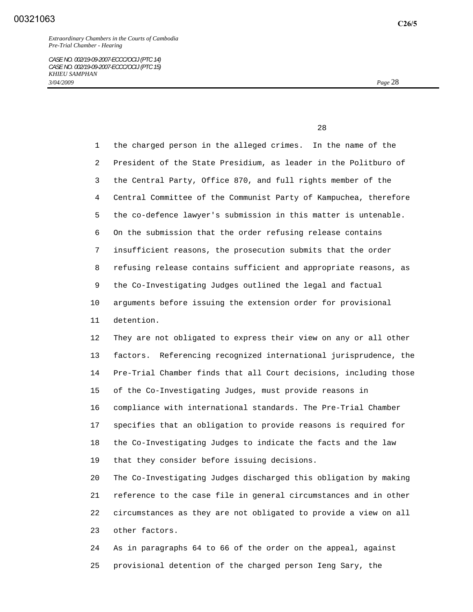28 and 28 and 28 and 28 and 28 and 28 and 28 and 28 and 28 and 28 and 28 and 28 and 28 and 28 and 28 and 28 an

 1 the charged person in the alleged crimes. In the name of the 2 President of the State Presidium, as leader in the Politburo of 3 the Central Party, Office 870, and full rights member of the 4 Central Committee of the Communist Party of Kampuchea, therefore 5 the co-defence lawyer's submission in this matter is untenable. 6 On the submission that the order refusing release contains 7 insufficient reasons, the prosecution submits that the order 8 refusing release contains sufficient and appropriate reasons, as 9 the Co-Investigating Judges outlined the legal and factual 10 arguments before issuing the extension order for provisional 11 detention. 12 They are not obligated to express their view on any or all other 13 factors. Referencing recognized international jurisprudence, the 14 Pre-Trial Chamber finds that all Court decisions, including those 15 of the Co-Investigating Judges, must provide reasons in

 16 compliance with international standards. The Pre-Trial Chamber 17 specifies that an obligation to provide reasons is required for 18 the Co-Investigating Judges to indicate the facts and the law 19 that they consider before issuing decisions.

 20 The Co-Investigating Judges discharged this obligation by making 21 reference to the case file in general circumstances and in other 22 circumstances as they are not obligated to provide a view on all 23 other factors.

 24 As in paragraphs 64 to 66 of the order on the appeal, against 25 provisional detention of the charged person Ieng Sary, the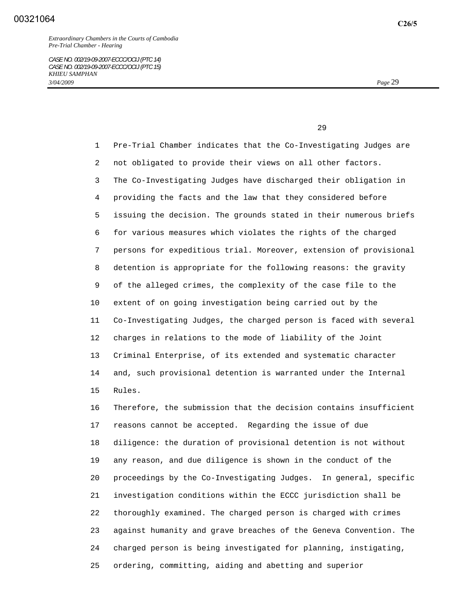1 Pre-Trial Chamber indicates that the Co-Investigating Judges are 2 not obligated to provide their views on all other factors. 3 The Co-Investigating Judges have discharged their obligation in 4 providing the facts and the law that they considered before 5 issuing the decision. The grounds stated in their numerous briefs 6 for various measures which violates the rights of the charged 7 persons for expeditious trial. Moreover, extension of provisional 8 detention is appropriate for the following reasons: the gravity 9 of the alleged crimes, the complexity of the case file to the 10 extent of on going investigation being carried out by the 11 Co-Investigating Judges, the charged person is faced with several 12 charges in relations to the mode of liability of the Joint 13 Criminal Enterprise, of its extended and systematic character 14 and, such provisional detention is warranted under the Internal 15 Rules.

 16 Therefore, the submission that the decision contains insufficient 17 reasons cannot be accepted. Regarding the issue of due 18 diligence: the duration of provisional detention is not without 19 any reason, and due diligence is shown in the conduct of the 20 proceedings by the Co-Investigating Judges. In general, specific 21 investigation conditions within the ECCC jurisdiction shall be 22 thoroughly examined. The charged person is charged with crimes 23 against humanity and grave breaches of the Geneva Convention. The 24 charged person is being investigated for planning, instigating, 25 ordering, committing, aiding and abetting and superior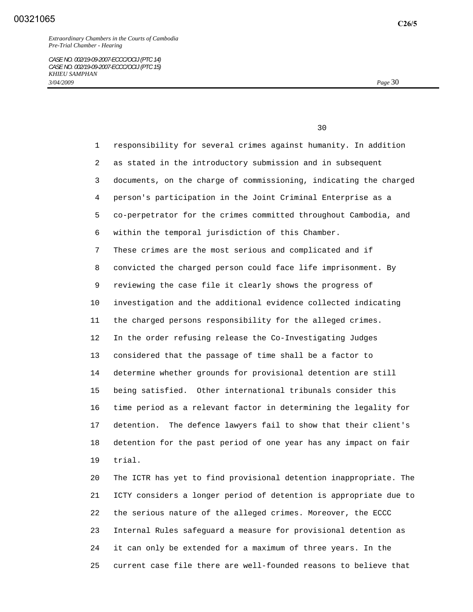*CASE NO. 002/19-09-2007-ECCC/OCIJ (PTC 14) CASE NO. 002/19-09-2007-ECCC/OCIJ (PTC 15) KHIEU SAMPHAN 3/04/2009 Page* 30

<u>30</u>

 1 responsibility for several crimes against humanity. In addition 2 as stated in the introductory submission and in subsequent 3 documents, on the charge of commissioning, indicating the charged 4 person's participation in the Joint Criminal Enterprise as a 5 co-perpetrator for the crimes committed throughout Cambodia, and 6 within the temporal jurisdiction of this Chamber. 7 These crimes are the most serious and complicated and if 8 convicted the charged person could face life imprisonment. By 9 reviewing the case file it clearly shows the progress of 10 investigation and the additional evidence collected indicating 11 the charged persons responsibility for the alleged crimes. 12 In the order refusing release the Co-Investigating Judges 13 considered that the passage of time shall be a factor to 14 determine whether grounds for provisional detention are still 15 being satisfied. Other international tribunals consider this 16 time period as a relevant factor in determining the legality for 17 detention. The defence lawyers fail to show that their client's 18 detention for the past period of one year has any impact on fair 19 trial. 20 The ICTR has yet to find provisional detention inappropriate. The

 21 ICTY considers a longer period of detention is appropriate due to 22 the serious nature of the alleged crimes. Moreover, the ECCC 23 Internal Rules safeguard a measure for provisional detention as 24 it can only be extended for a maximum of three years. In the 25 current case file there are well-founded reasons to believe that

**C26/5**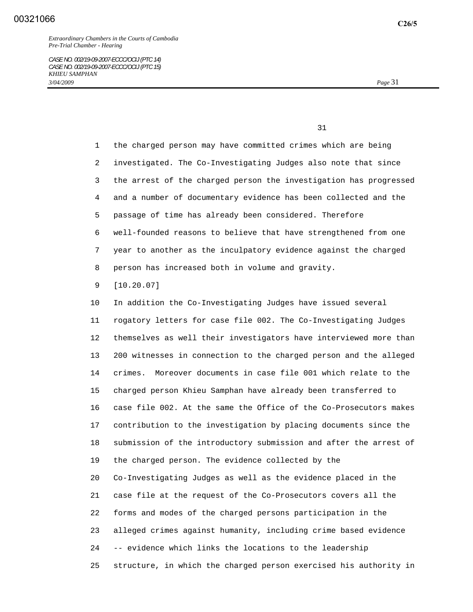1 the charged person may have committed crimes which are being 2 investigated. The Co-Investigating Judges also note that since 3 the arrest of the charged person the investigation has progressed 4 and a number of documentary evidence has been collected and the 5 passage of time has already been considered. Therefore 6 well-founded reasons to believe that have strengthened from one 7 year to another as the inculpatory evidence against the charged 8 person has increased both in volume and gravity.

9 [10.20.07]

 10 In addition the Co-Investigating Judges have issued several 11 rogatory letters for case file 002. The Co-Investigating Judges 12 themselves as well their investigators have interviewed more than 13 200 witnesses in connection to the charged person and the alleged 14 crimes. Moreover documents in case file 001 which relate to the 15 charged person Khieu Samphan have already been transferred to 16 case file 002. At the same the Office of the Co-Prosecutors makes 17 contribution to the investigation by placing documents since the 18 submission of the introductory submission and after the arrest of 19 the charged person. The evidence collected by the 20 Co-Investigating Judges as well as the evidence placed in the 21 case file at the request of the Co-Prosecutors covers all the 22 forms and modes of the charged persons participation in the 23 alleged crimes against humanity, including crime based evidence 24 -- evidence which links the locations to the leadership 25 structure, in which the charged person exercised his authority in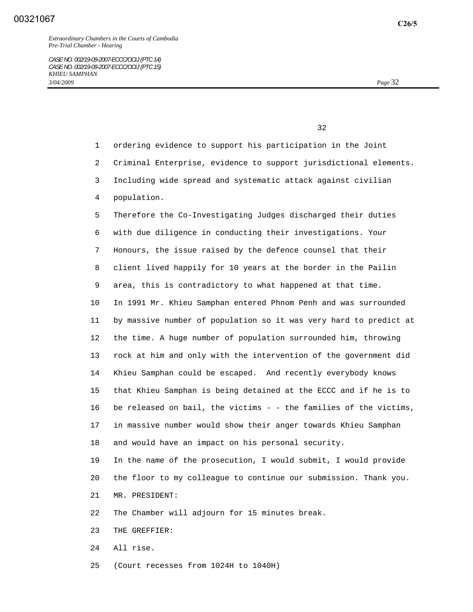- 1 ordering evidence to support his participation in the Joint
- 2 Criminal Enterprise, evidence to support jurisdictional elements.
- 3 Including wide spread and systematic attack against civilian
- 4 population.

 5 Therefore the Co-Investigating Judges discharged their duties 6 with due diligence in conducting their investigations. Your 7 Honours, the issue raised by the defence counsel that their 8 client lived happily for 10 years at the border in the Pailin 9 area, this is contradictory to what happened at that time. 10 In 1991 Mr. Khieu Samphan entered Phnom Penh and was surrounded 11 by massive number of population so it was very hard to predict at 12 the time. A huge number of population surrounded him, throwing 13 rock at him and only with the intervention of the government did 14 Khieu Samphan could be escaped. And recently everybody knows 15 that Khieu Samphan is being detained at the ECCC and if he is to 16 be released on bail, the victims - - the families of the victims, 17 in massive number would show their anger towards Khieu Samphan 18 and would have an impact on his personal security.

 19 In the name of the prosecution, I would submit, I would provide 20 the floor to my colleague to continue our submission. Thank you. 21 MR. PRESIDENT:

- 22 The Chamber will adjourn for 15 minutes break.
- 23 THE GREFFIER:
- 24 All rise.
- 25 (Court recesses from 1024H to 1040H)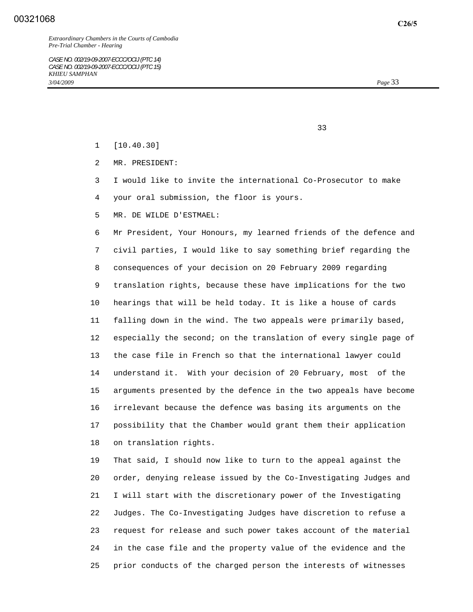*Extraordinary Chambers in the Courts of Cambodia Pre-Trial Chamber - Hearing* 

*CASE NO. 002/19-09-2007-ECCC/OCIJ (PTC 14) CASE NO. 002/19-09-2007-ECCC/OCIJ (PTC 15) KHIEU SAMPHAN 3/04/2009 Page* 33

- 1 [10.40.30]
- 2 MR. PRESIDENT:
- 3 I would like to invite the international Co-Prosecutor to make 4 your oral submission, the floor is yours.
- 5 MR. DE WILDE D'ESTMAEL:

 6 Mr President, Your Honours, my learned friends of the defence and 7 civil parties, I would like to say something brief regarding the 8 consequences of your decision on 20 February 2009 regarding 9 translation rights, because these have implications for the two 10 hearings that will be held today. It is like a house of cards 11 falling down in the wind. The two appeals were primarily based, 12 especially the second; on the translation of every single page of 13 the case file in French so that the international lawyer could 14 understand it. With your decision of 20 February, most of the 15 arguments presented by the defence in the two appeals have become 16 irrelevant because the defence was basing its arguments on the 17 possibility that the Chamber would grant them their application 18 on translation rights.

 19 That said, I should now like to turn to the appeal against the 20 order, denying release issued by the Co-Investigating Judges and 21 I will start with the discretionary power of the Investigating 22 Judges. The Co-Investigating Judges have discretion to refuse a 23 request for release and such power takes account of the material 24 in the case file and the property value of the evidence and the 25 prior conducts of the charged person the interests of witnesses

33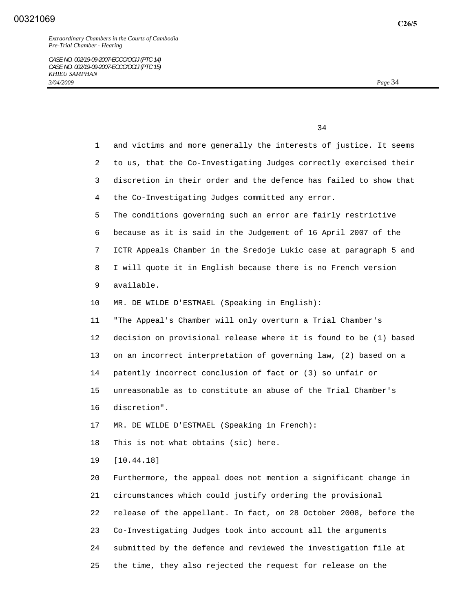| 1  | and victims and more generally the interests of justice. It seems |
|----|-------------------------------------------------------------------|
| 2  | to us, that the Co-Investigating Judges correctly exercised their |
| 3  | discretion in their order and the defence has failed to show that |
| 4  | the Co-Investigating Judges committed any error.                  |
| 5  | The conditions governing such an error are fairly restrictive     |
| 6  | because as it is said in the Judgement of 16 April 2007 of the    |
| 7  | ICTR Appeals Chamber in the Sredoje Lukic case at paragraph 5 and |
| 8  | I will quote it in English because there is no French version     |
| 9  | available.                                                        |
| 10 | MR. DE WILDE D'ESTMAEL (Speaking in English):                     |
| 11 | "The Appeal's Chamber will only overturn a Trial Chamber's        |
| 12 | decision on provisional release where it is found to be (1) based |
| 13 | on an incorrect interpretation of governing law, (2) based on a   |
| 14 | patently incorrect conclusion of fact or (3) so unfair or         |
| 15 | unreasonable as to constitute an abuse of the Trial Chamber's     |
| 16 | discretion".                                                      |
| 17 | MR. DE WILDE D'ESTMAEL (Speaking in French):                      |
| 18 | This is not what obtains (sic) here.                              |
| 19 | [10.44.18]                                                        |
| 20 | Furthermore, the appeal does not mention a significant change in  |
| 21 | circumstances which could justify ordering the provisional        |
| 22 | release of the appellant. In fact, on 28 October 2008, before the |
| 23 | Co-Investigating Judges took into account all the arguments       |
| 24 | submitted by the defence and reviewed the investigation file at   |
| 25 | the time, they also rejected the request for release on the       |

**C26/5**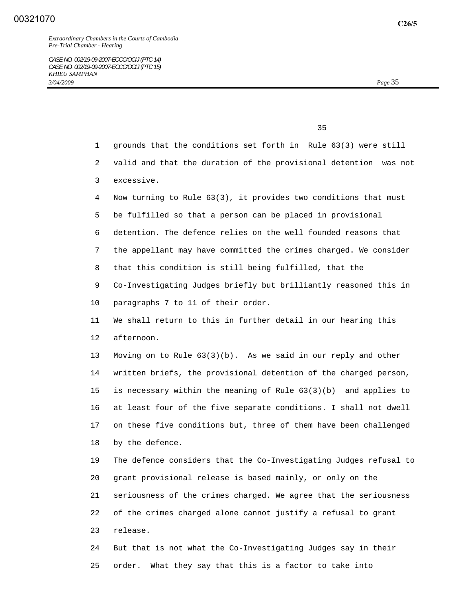- 1 grounds that the conditions set forth in Rule 63(3) were still
- 2 valid and that the duration of the provisional detention was not
- 3 excessive.
- 4 Now turning to Rule 63(3), it provides two conditions that must
- 5 be fulfilled so that a person can be placed in provisional
- 6 detention. The defence relies on the well founded reasons that
- 7 the appellant may have committed the crimes charged. We consider
- 8 that this condition is still being fulfilled, that the
- 9 Co-Investigating Judges briefly but brilliantly reasoned this in
- 10 paragraphs 7 to 11 of their order.
- 11 We shall return to this in further detail in our hearing this 12 afternoon.

 13 Moving on to Rule 63(3)(b). As we said in our reply and other 14 written briefs, the provisional detention of the charged person, 15 is necessary within the meaning of Rule 63(3)(b) and applies to 16 at least four of the five separate conditions. I shall not dwell 17 on these five conditions but, three of them have been challenged 18 by the defence.

 19 The defence considers that the Co-Investigating Judges refusal to 20 grant provisional release is based mainly, or only on the 21 seriousness of the crimes charged. We agree that the seriousness 22 of the crimes charged alone cannot justify a refusal to grant 23 release.

 24 But that is not what the Co-Investigating Judges say in their 25 order. What they say that this is a factor to take into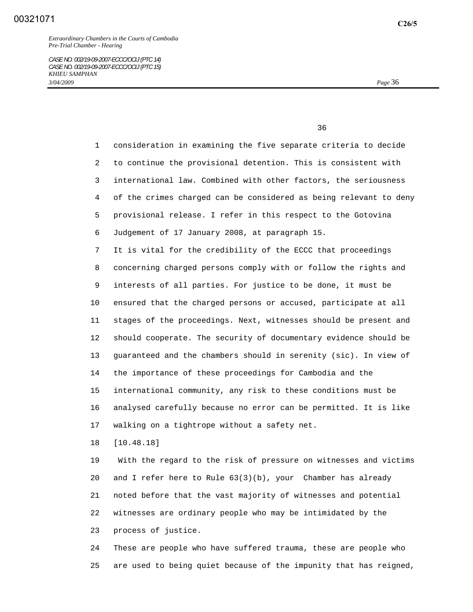1 consideration in examining the five separate criteria to decide 2 to continue the provisional detention. This is consistent with 3 international law. Combined with other factors, the seriousness 4 of the crimes charged can be considered as being relevant to deny 5 provisional release. I refer in this respect to the Gotovina 6 Judgement of 17 January 2008, at paragraph 15. 7 It is vital for the credibility of the ECCC that proceedings 8 concerning charged persons comply with or follow the rights and 9 interests of all parties. For justice to be done, it must be 10 ensured that the charged persons or accused, participate at all 11 stages of the proceedings. Next, witnesses should be present and 12 should cooperate. The security of documentary evidence should be 13 guaranteed and the chambers should in serenity (sic). In view of 14 the importance of these proceedings for Cambodia and the 15 international community, any risk to these conditions must be 16 analysed carefully because no error can be permitted. It is like 17 walking on a tightrope without a safety net.

18 [10.48.18]

 19 With the regard to the risk of pressure on witnesses and victims 20 and I refer here to Rule 63(3)(b), your Chamber has already 21 noted before that the vast majority of witnesses and potential 22 witnesses are ordinary people who may be intimidated by the 23 process of justice.

 24 These are people who have suffered trauma, these are people who 25 are used to being quiet because of the impunity that has reigned,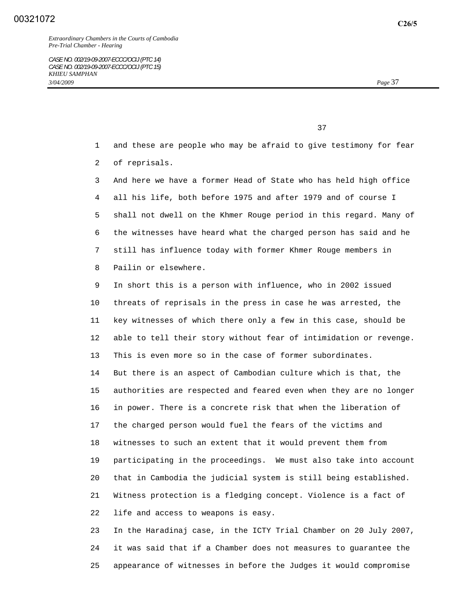*Extraordinary Chambers in the Courts of Cambodia Pre-Trial Chamber - Hearing* 

37

- 1 and these are people who may be afraid to give testimony for fear 2 of reprisals.
- 3 And here we have a former Head of State who has held high office 4 all his life, both before 1975 and after 1979 and of course I 5 shall not dwell on the Khmer Rouge period in this regard. Many of 6 the witnesses have heard what the charged person has said and he 7 still has influence today with former Khmer Rouge members in 8 Pailin or elsewhere.
- 9 In short this is a person with influence, who in 2002 issued 10 threats of reprisals in the press in case he was arrested, the 11 key witnesses of which there only a few in this case, should be 12 able to tell their story without fear of intimidation or revenge. 13 This is even more so in the case of former subordinates. 14 But there is an aspect of Cambodian culture which is that, the 15 authorities are respected and feared even when they are no longer 16 in power. There is a concrete risk that when the liberation of 17 the charged person would fuel the fears of the victims and 18 witnesses to such an extent that it would prevent them from 19 participating in the proceedings. We must also take into account 20 that in Cambodia the judicial system is still being established. 21 Witness protection is a fledging concept. Violence is a fact of 22 life and access to weapons is easy.
- 23 In the Haradinaj case, in the ICTY Trial Chamber on 20 July 2007, 24 it was said that if a Chamber does not measures to guarantee the 25 appearance of witnesses in before the Judges it would compromise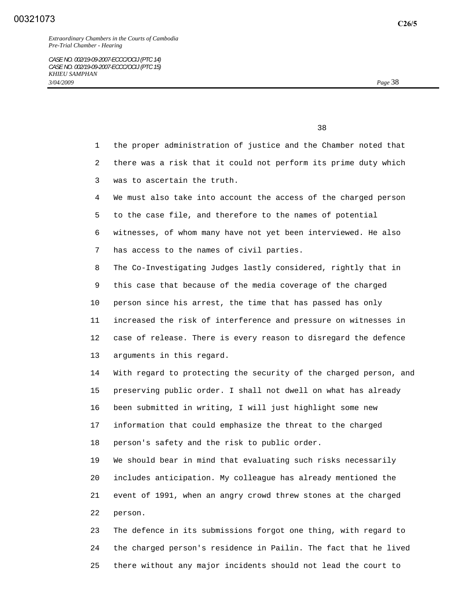<u>38</u> and the state of the state of the state of the state of the state of the state of the state of the state of the state of the state of the state of the state of the state of the state of the state of the state of the s

- 1 the proper administration of justice and the Chamber noted that 2 there was a risk that it could not perform its prime duty which 3 was to ascertain the truth.
- 4 We must also take into account the access of the charged person 5 to the case file, and therefore to the names of potential 6 witnesses, of whom many have not yet been interviewed. He also 7 has access to the names of civil parties.
- 8 The Co-Investigating Judges lastly considered, rightly that in 9 this case that because of the media coverage of the charged 10 person since his arrest, the time that has passed has only 11 increased the risk of interference and pressure on witnesses in 12 case of release. There is every reason to disregard the defence 13 arguments in this regard.

 14 With regard to protecting the security of the charged person, and 15 preserving public order. I shall not dwell on what has already 16 been submitted in writing, I will just highlight some new 17 information that could emphasize the threat to the charged 18 person's safety and the risk to public order.

 19 We should bear in mind that evaluating such risks necessarily 20 includes anticipation. My colleague has already mentioned the 21 event of 1991, when an angry crowd threw stones at the charged 22 person.

 23 The defence in its submissions forgot one thing, with regard to 24 the charged person's residence in Pailin. The fact that he lived 25 there without any major incidents should not lead the court to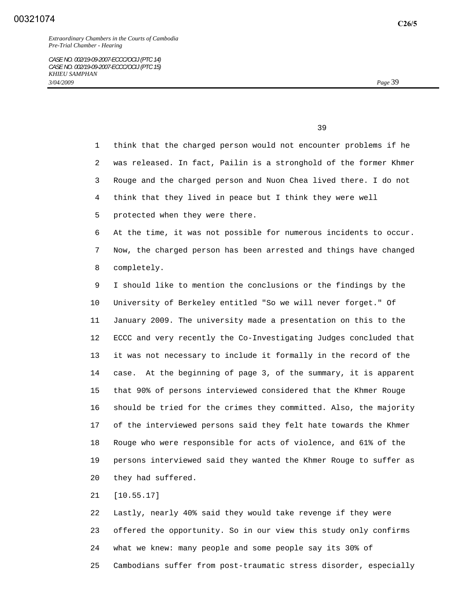1 think that the charged person would not encounter problems if he 2 was released. In fact, Pailin is a stronghold of the former Khmer 3 Rouge and the charged person and Nuon Chea lived there. I do not 4 think that they lived in peace but I think they were well 5 protected when they were there. 6 At the time, it was not possible for numerous incidents to occur. 7 Now, the charged person has been arrested and things have changed 8 completely. 9 I should like to mention the conclusions or the findings by the 10 University of Berkeley entitled "So we will never forget." Of 11 January 2009. The university made a presentation on this to the 12 ECCC and very recently the Co-Investigating Judges concluded that 13 it was not necessary to include it formally in the record of the 14 case. At the beginning of page 3, of the summary, it is apparent 15 that 90% of persons interviewed considered that the Khmer Rouge 16 should be tried for the crimes they committed. Also, the majority 17 of the interviewed persons said they felt hate towards the Khmer

 18 Rouge who were responsible for acts of violence, and 61% of the 19 persons interviewed said they wanted the Khmer Rouge to suffer as 20 they had suffered.

21 [10.55.17]

 22 Lastly, nearly 40% said they would take revenge if they were 23 offered the opportunity. So in our view this study only confirms 24 what we knew: many people and some people say its 30% of 25 Cambodians suffer from post-traumatic stress disorder, especially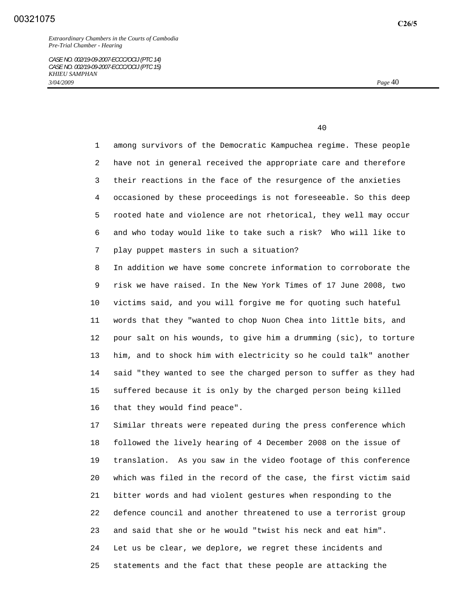*CASE NO. 002/19-09-2007-ECCC/OCIJ (PTC 14) CASE NO. 002/19-09-2007-ECCC/OCIJ (PTC 15) KHIEU SAMPHAN 3/04/2009 Page* 40

40

 1 among survivors of the Democratic Kampuchea regime. These people 2 have not in general received the appropriate care and therefore 3 their reactions in the face of the resurgence of the anxieties 4 occasioned by these proceedings is not foreseeable. So this deep 5 rooted hate and violence are not rhetorical, they well may occur 6 and who today would like to take such a risk? Who will like to 7 play puppet masters in such a situation?

 8 In addition we have some concrete information to corroborate the 9 risk we have raised. In the New York Times of 17 June 2008, two 10 victims said, and you will forgive me for quoting such hateful 11 words that they "wanted to chop Nuon Chea into little bits, and 12 pour salt on his wounds, to give him a drumming (sic), to torture 13 him, and to shock him with electricity so he could talk" another 14 said "they wanted to see the charged person to suffer as they had 15 suffered because it is only by the charged person being killed 16 that they would find peace".

 17 Similar threats were repeated during the press conference which 18 followed the lively hearing of 4 December 2008 on the issue of 19 translation. As you saw in the video footage of this conference 20 which was filed in the record of the case, the first victim said 21 bitter words and had violent gestures when responding to the 22 defence council and another threatened to use a terrorist group 23 and said that she or he would "twist his neck and eat him". 24 Let us be clear, we deplore, we regret these incidents and 25 statements and the fact that these people are attacking the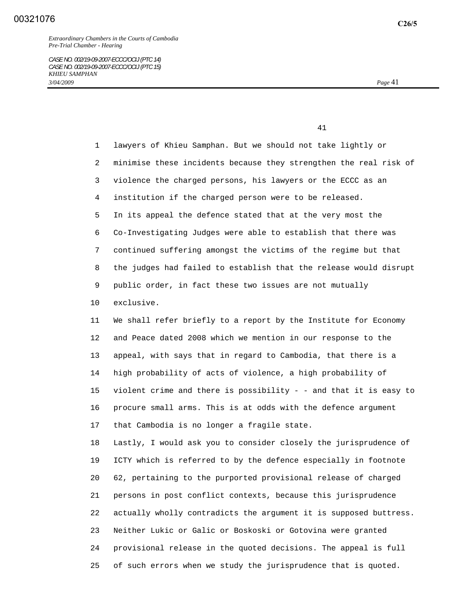1 lawyers of Khieu Samphan. But we should not take lightly or 2 minimise these incidents because they strengthen the real risk of 3 violence the charged persons, his lawyers or the ECCC as an 4 institution if the charged person were to be released. 5 In its appeal the defence stated that at the very most the 6 Co-Investigating Judges were able to establish that there was 7 continued suffering amongst the victims of the regime but that 8 the judges had failed to establish that the release would disrupt 9 public order, in fact these two issues are not mutually 10 exclusive. 11 We shall refer briefly to a report by the Institute for Economy 12 and Peace dated 2008 which we mention in our response to the 13 appeal, with says that in regard to Cambodia, that there is a 14 high probability of acts of violence, a high probability of 15 violent crime and there is possibility - - and that it is easy to 16 procure small arms. This is at odds with the defence argument 17 that Cambodia is no longer a fragile state. 18 Lastly, I would ask you to consider closely the jurisprudence of 19 ICTY which is referred to by the defence especially in footnote 20 62, pertaining to the purported provisional release of charged 21 persons in post conflict contexts, because this jurisprudence 22 actually wholly contradicts the argument it is supposed buttress. 23 Neither Lukic or Galic or Boskoski or Gotovina were granted 24 provisional release in the quoted decisions. The appeal is full 25 of such errors when we study the jurisprudence that is quoted.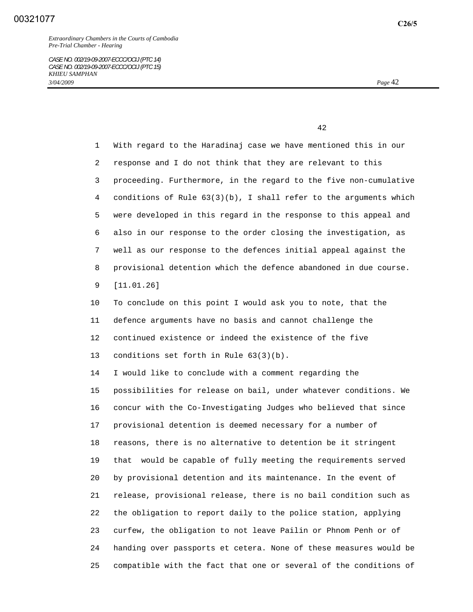1 With regard to the Haradinaj case we have mentioned this in our 2 response and I do not think that they are relevant to this 3 proceeding. Furthermore, in the regard to the five non-cumulative 4 conditions of Rule 63(3)(b), I shall refer to the arguments which 5 were developed in this regard in the response to this appeal and 6 also in our response to the order closing the investigation, as 7 well as our response to the defences initial appeal against the 8 provisional detention which the defence abandoned in due course. 9 [11.01.26]

 10 To conclude on this point I would ask you to note, that the 11 defence arguments have no basis and cannot challenge the 12 continued existence or indeed the existence of the five 13 conditions set forth in Rule 63(3)(b).

 14 I would like to conclude with a comment regarding the 15 possibilities for release on bail, under whatever conditions. We 16 concur with the Co-Investigating Judges who believed that since 17 provisional detention is deemed necessary for a number of 18 reasons, there is no alternative to detention be it stringent 19 that would be capable of fully meeting the requirements served 20 by provisional detention and its maintenance. In the event of 21 release, provisional release, there is no bail condition such as 22 the obligation to report daily to the police station, applying 23 curfew, the obligation to not leave Pailin or Phnom Penh or of 24 handing over passports et cetera. None of these measures would be 25 compatible with the fact that one or several of the conditions of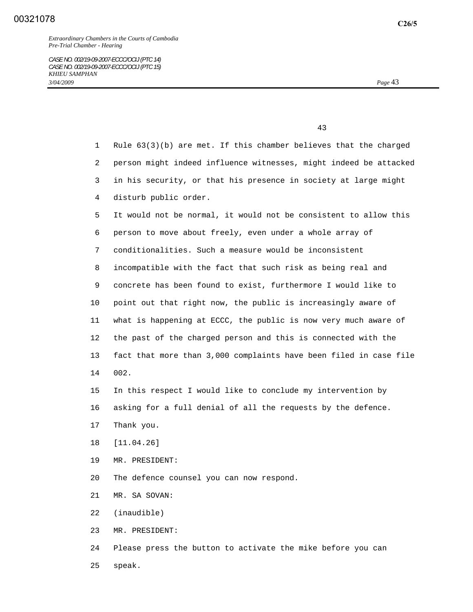*CASE NO. 002/19-09-2007-ECCC/OCIJ (PTC 14) CASE NO. 002/19-09-2007-ECCC/OCIJ (PTC 15) KHIEU SAMPHAN 3/04/2009 Page* 43

|              | 43                                                                 |
|--------------|--------------------------------------------------------------------|
| $\mathbf{1}$ | Rule $63(3)(b)$ are met. If this chamber believes that the charged |
| 2            | person might indeed influence witnesses, might indeed be attacked  |
| 3            | in his security, or that his presence in society at large might    |
| 4            | disturb public order.                                              |
| 5.           | It would not be normal, it would not be consistent to allow this   |
| 6            | person to move about freely, even under a whole array of           |
| 7            | conditionalities. Such a measure would be inconsistent             |
| 8            | incompatible with the fact that such risk as being real and        |
| 9            | concrete has been found to exist, furthermore I would like to      |
| 10           | point out that right now, the public is increasingly aware of      |
| 11           | what is happening at ECCC, the public is now very much aware of    |
| 12           | the past of the charged person and this is connected with the      |
| 13           | fact that more than 3,000 complaints have been filed in case file  |
| 14           | 002.                                                               |
| 15           | In this respect I would like to conclude my intervention by        |
| 16           | asking for a full denial of all the requests by the defence.       |
| 17           | Thank you.                                                         |
| 18           | [11.04.26]                                                         |
| 19           | MR. PRESIDENT:                                                     |
| 20           | The defence counsel you can now respond.                           |
| 21           | MR. SA SOVAN:                                                      |
| 22           | (inaudible)                                                        |
| 23           | MR. PRESIDENT:                                                     |

 24 Please press the button to activate the mike before you can 25 speak.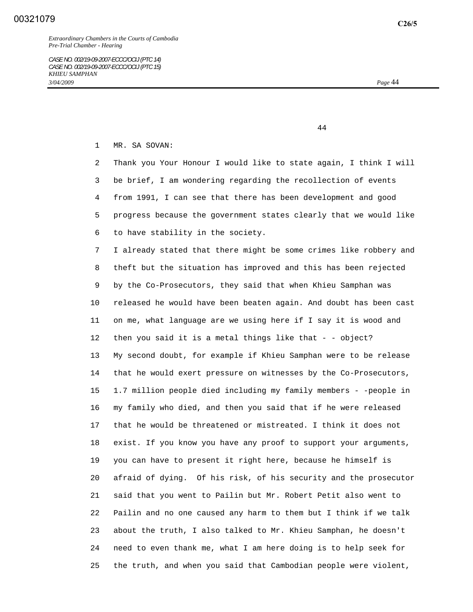1 MR. SA SOVAN:

 2 Thank you Your Honour I would like to state again, I think I will 3 be brief, I am wondering regarding the recollection of events 4 from 1991, I can see that there has been development and good 5 progress because the government states clearly that we would like 6 to have stability in the society.

 7 I already stated that there might be some crimes like robbery and 8 theft but the situation has improved and this has been rejected 9 by the Co-Prosecutors, they said that when Khieu Samphan was 10 released he would have been beaten again. And doubt has been cast 11 on me, what language are we using here if I say it is wood and 12 then you said it is a metal things like that - - object? 13 My second doubt, for example if Khieu Samphan were to be release 14 that he would exert pressure on witnesses by the Co-Prosecutors, 15 1.7 million people died including my family members - -people in 16 my family who died, and then you said that if he were released 17 that he would be threatened or mistreated. I think it does not 18 exist. If you know you have any proof to support your arguments, 19 you can have to present it right here, because he himself is 20 afraid of dying. Of his risk, of his security and the prosecutor 21 said that you went to Pailin but Mr. Robert Petit also went to 22 Pailin and no one caused any harm to them but I think if we talk 23 about the truth, I also talked to Mr. Khieu Samphan, he doesn't 24 need to even thank me, what I am here doing is to help seek for 25 the truth, and when you said that Cambodian people were violent,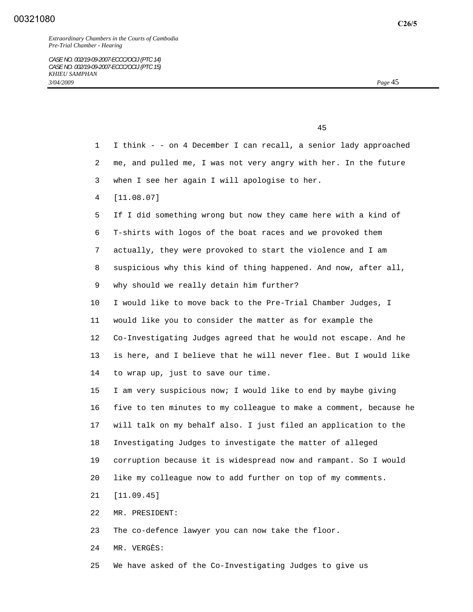*Extraordinary Chambers in the Courts of Cambodia Pre-Trial Chamber - Hearing* 

45

 1 I think - - on 4 December I can recall, a senior lady approached 2 me, and pulled me, I was not very angry with her. In the future 3 when I see her again I will apologise to her. 4 [11.08.07] 5 If I did something wrong but now they came here with a kind of 6 T-shirts with logos of the boat races and we provoked them 7 actually, they were provoked to start the violence and I am 8 suspicious why this kind of thing happened. And now, after all, 9 why should we really detain him further? 10 I would like to move back to the Pre-Trial Chamber Judges, I 11 would like you to consider the matter as for example the 12 Co-Investigating Judges agreed that he would not escape. And he 13 is here, and I believe that he will never flee. But I would like 14 to wrap up, just to save our time. 15 I am very suspicious now; I would like to end by maybe giving 16 five to ten minutes to my colleague to make a comment, because he 17 will talk on my behalf also. I just filed an application to the 18 Investigating Judges to investigate the matter of alleged 19 corruption because it is widespread now and rampant. So I would 20 like my colleague now to add further on top of my comments. 21 [11.09.45] 22 MR. PRESIDENT: 23 The co-defence lawyer you can now take the floor. 24 MR. VERGÈS:

25 We have asked of the Co-Investigating Judges to give us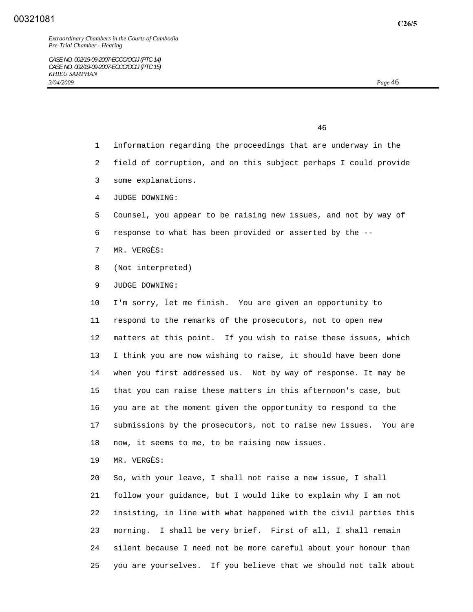*CASE NO. 002/19-09-2007-ECCC/OCIJ (PTC 14) CASE NO. 002/19-09-2007-ECCC/OCIJ (PTC 15) KHIEU SAMPHAN 3/04/2009 Page* 46

46

- 1 information regarding the proceedings that are underway in the
- 2 field of corruption, and on this subject perhaps I could provide
- 3 some explanations.
- 4 JUDGE DOWNING:
- 5 Counsel, you appear to be raising new issues, and not by way of
- 6 response to what has been provided or asserted by the --
- 7 MR. VERGÈS:
- 8 (Not interpreted)
- 9 JUDGE DOWNING:

 10 I'm sorry, let me finish. You are given an opportunity to 11 respond to the remarks of the prosecutors, not to open new 12 matters at this point. If you wish to raise these issues, which 13 I think you are now wishing to raise, it should have been done 14 when you first addressed us. Not by way of response. It may be 15 that you can raise these matters in this afternoon's case, but 16 you are at the moment given the opportunity to respond to the 17 submissions by the prosecutors, not to raise new issues. You are 18 now, it seems to me, to be raising new issues.

19 MR. VERGÈS:

 20 So, with your leave, I shall not raise a new issue, I shall 21 follow your guidance, but I would like to explain why I am not 22 insisting, in line with what happened with the civil parties this 23 morning. I shall be very brief. First of all, I shall remain 24 silent because I need not be more careful about your honour than 25 you are yourselves. If you believe that we should not talk about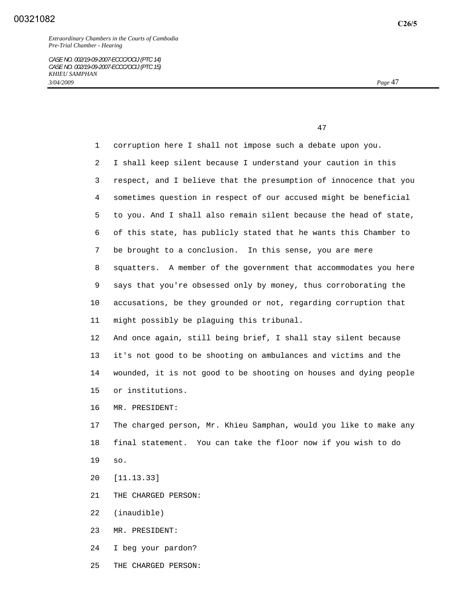| 1  | corruption here I shall not impose such a debate upon you.        |
|----|-------------------------------------------------------------------|
| 2  | I shall keep silent because I understand your caution in this     |
| 3  | respect, and I believe that the presumption of innocence that you |
| 4  | sometimes question in respect of our accused might be beneficial  |
| 5  | to you. And I shall also remain silent because the head of state, |
| 6  | of this state, has publicly stated that he wants this Chamber to  |
| 7  | be brought to a conclusion. In this sense, you are mere           |
| 8  | squatters. A member of the government that accommodates you here  |
| 9  | says that you're obsessed only by money, thus corroborating the   |
| 10 | accusations, be they grounded or not, regarding corruption that   |
| 11 | might possibly be plaguing this tribunal.                         |
| 12 | And once again, still being brief, I shall stay silent because    |
| 13 | it's not good to be shooting on ambulances and victims and the    |
| 14 | wounded, it is not good to be shooting on houses and dying people |
| 15 | or institutions.                                                  |
| 16 | MR. PRESIDENT:                                                    |
| 17 | The charged person, Mr. Khieu Samphan, would you like to make any |
| 18 | final statement. You can take the floor now if you wish to do     |
| 19 | SO.                                                               |
| 20 | [11.13.33]                                                        |
| 21 | THE CHARGED PERSON:                                               |
| 22 | (inaudible)                                                       |
| 23 | MR. PRESIDENT:                                                    |
| 24 | I beg your pardon?                                                |
| 25 | THE CHARGED PERSON:                                               |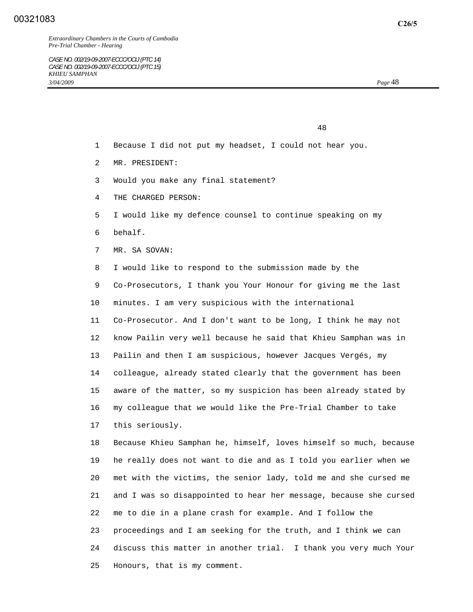48

- 1 Because I did not put my headset, I could not hear you.
- 2 MR. PRESIDENT:
- 3 Would you make any final statement?
- 4 THE CHARGED PERSON:
- 5 I would like my defence counsel to continue speaking on my
- 6 behalf.
- 7 MR. SA SOVAN:
- 8 I would like to respond to the submission made by the
- 9 Co-Prosecutors, I thank you Your Honour for giving me the last
- 10 minutes. I am very suspicious with the international

 11 Co-Prosecutor. And I don't want to be long, I think he may not 12 know Pailin very well because he said that Khieu Samphan was in 13 Pailin and then I am suspicious, however Jacques Vergés, my 14 colleague, already stated clearly that the government has been 15 aware of the matter, so my suspicion has been already stated by 16 my colleague that we would like the Pre-Trial Chamber to take 17 this seriously.

 18 Because Khieu Samphan he, himself, loves himself so much, because 19 he really does not want to die and as I told you earlier when we 20 met with the victims, the senior lady, told me and she cursed me 21 and I was so disappointed to hear her message, because she cursed 22 me to die in a plane crash for example. And I follow the 23 proceedings and I am seeking for the truth, and I think we can 24 discuss this matter in another trial. I thank you very much Your 25 Honours, that is my comment.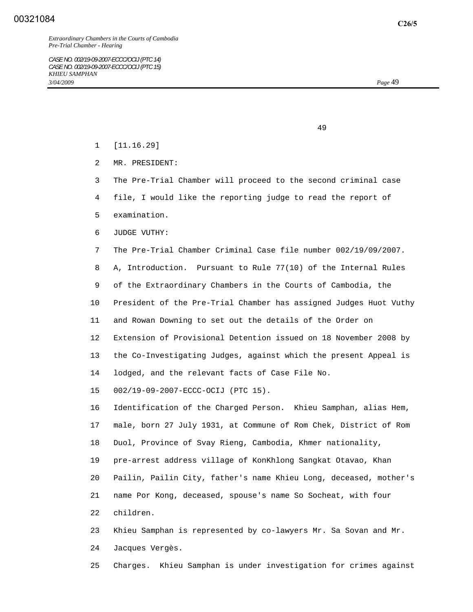- 1 [11.16.29]
- 2 MR. PRESIDENT:

- 3 The Pre-Trial Chamber will proceed to the second criminal case
- 4 file, I would like the reporting judge to read the report of
- 5 examination.
- 6 JUDGE VUTHY:
- 7 The Pre-Trial Chamber Criminal Case file number 002/19/09/2007.
- 8 A, Introduction. Pursuant to Rule 77(10) of the Internal Rules
- 9 of the Extraordinary Chambers in the Courts of Cambodia, the
- 10 President of the Pre-Trial Chamber has assigned Judges Huot Vuthy
- 11 and Rowan Downing to set out the details of the Order on
- 12 Extension of Provisional Detention issued on 18 November 2008 by
- 13 the Co-Investigating Judges, against which the present Appeal is
- 14 lodged, and the relevant facts of Case File No.
- 15 002/19-09-2007-ECCC-OCIJ (PTC 15).

 16 Identification of the Charged Person. Khieu Samphan, alias Hem, 17 male, born 27 July 1931, at Commune of Rom Chek, District of Rom 18 Duol, Province of Svay Rieng, Cambodia, Khmer nationality, 19 pre-arrest address village of KonKhlong Sangkat Otavao, Khan 20 Pailin, Pailin City, father's name Khieu Long, deceased, mother's 21 name Por Kong, deceased, spouse's name So Socheat, with four 22 children.

 23 Khieu Samphan is represented by co-lawyers Mr. Sa Sovan and Mr. 24 Jacques Vergès.

25 Charges. Khieu Samphan is under investigation for crimes against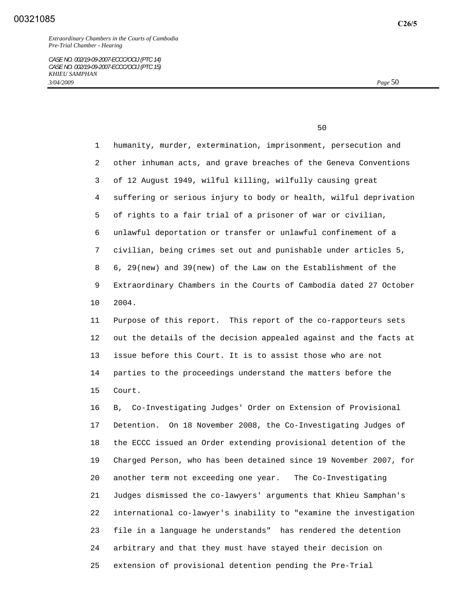$50<sub>50</sub>$ 

 1 humanity, murder, extermination, imprisonment, persecution and 2 other inhuman acts, and grave breaches of the Geneva Conventions 3 of 12 August 1949, wilful killing, wilfully causing great 4 suffering or serious injury to body or health, wilful deprivation 5 of rights to a fair trial of a prisoner of war or civilian, 6 unlawful deportation or transfer or unlawful confinement of a 7 civilian, being crimes set out and punishable under articles 5, 8 6, 29(new) and 39(new) of the Law on the Establishment of the 9 Extraordinary Chambers in the Courts of Cambodia dated 27 October 10 2004.

 11 Purpose of this report. This report of the co-rapporteurs sets 12 out the details of the decision appealed against and the facts at 13 issue before this Court. It is to assist those who are not 14 parties to the proceedings understand the matters before the 15 Court.

 16 B, Co-Investigating Judges' Order on Extension of Provisional 17 Detention. On 18 November 2008, the Co-Investigating Judges of 18 the ECCC issued an Order extending provisional detention of the 19 Charged Person, who has been detained since 19 November 2007, for 20 another term not exceeding one year. The Co-Investigating 21 Judges dismissed the co-lawyers' arguments that Khieu Samphan's 22 international co-lawyer's inability to "examine the investigation 23 file in a language he understands" has rendered the detention 24 arbitrary and that they must have stayed their decision on 25 extension of provisional detention pending the Pre-Trial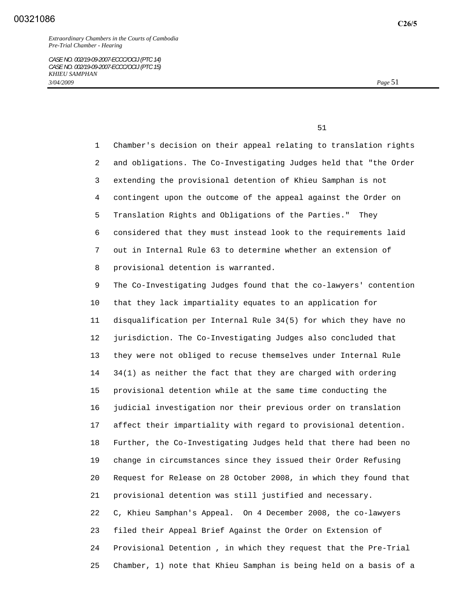1 Chamber's decision on their appeal relating to translation rights 2 and obligations. The Co-Investigating Judges held that "the Order 3 extending the provisional detention of Khieu Samphan is not 4 contingent upon the outcome of the appeal against the Order on 5 Translation Rights and Obligations of the Parties." They 6 considered that they must instead look to the requirements laid 7 out in Internal Rule 63 to determine whether an extension of 8 provisional detention is warranted.

 9 The Co-Investigating Judges found that the co-lawyers' contention 10 that they lack impartiality equates to an application for 11 disqualification per Internal Rule 34(5) for which they have no 12 jurisdiction. The Co-Investigating Judges also concluded that 13 they were not obliged to recuse themselves under Internal Rule 14 34(1) as neither the fact that they are charged with ordering 15 provisional detention while at the same time conducting the 16 judicial investigation nor their previous order on translation 17 affect their impartiality with regard to provisional detention. 18 Further, the Co-Investigating Judges held that there had been no 19 change in circumstances since they issued their Order Refusing 20 Request for Release on 28 October 2008, in which they found that 21 provisional detention was still justified and necessary. 22 C, Khieu Samphan's Appeal. On 4 December 2008, the co-lawyers 23 filed their Appeal Brief Against the Order on Extension of 24 Provisional Detention , in which they request that the Pre-Trial 25 Chamber, 1) note that Khieu Samphan is being held on a basis of a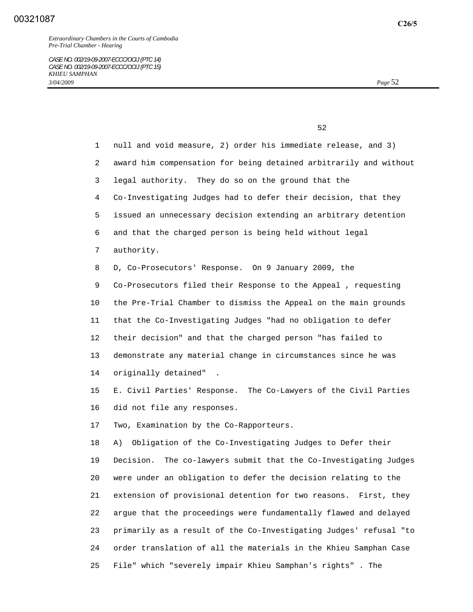**C26/5**

| $\Gamma$ $\Omega$ |
|-------------------|
|                   |

| $\mathbf{1}$ | null and void measure, 2) order his immediate release, and 3)     |
|--------------|-------------------------------------------------------------------|
| 2            | award him compensation for being detained arbitrarily and without |
| 3            | legal authority. They do so on the ground that the                |
| 4            | Co-Investigating Judges had to defer their decision, that they    |
| 5            | issued an unnecessary decision extending an arbitrary detention   |
| 6            | and that the charged person is being held without legal           |
| 7            | authority.                                                        |
| 8            | D, Co-Prosecutors' Response. On 9 January 2009, the               |
| 9            | Co-Prosecutors filed their Response to the Appeal, requesting     |
| $10 \,$      | the Pre-Trial Chamber to dismiss the Appeal on the main grounds   |
| 11           | that the Co-Investigating Judges "had no obligation to defer      |
| 12           | their decision" and that the charged person "has failed to        |
| 13           | demonstrate any material change in circumstances since he was     |
| 14           | originally detained"                                              |
| 15           | E. Civil Parties' Response. The Co-Lawyers of the Civil Parties   |
| 16           | did not file any responses.                                       |
| 17           | Two, Examination by the Co-Rapporteurs.                           |
| 18           | Obligation of the Co-Investigating Judges to Defer their<br>A)    |
| 19           | Decision. The co-lawyers submit that the Co-Investigating Judges  |
| 20           | were under an obligation to defer the decision relating to the    |
| 21           | extension of provisional detention for two reasons. First, they   |
| 22           | argue that the proceedings were fundamentally flawed and delayed  |
| 23           | primarily as a result of the Co-Investigating Judges' refusal "to |
|              |                                                                   |
| 24           | order translation of all the materials in the Khieu Samphan Case  |

25 File" which "severely impair Khieu Samphan's rights" . The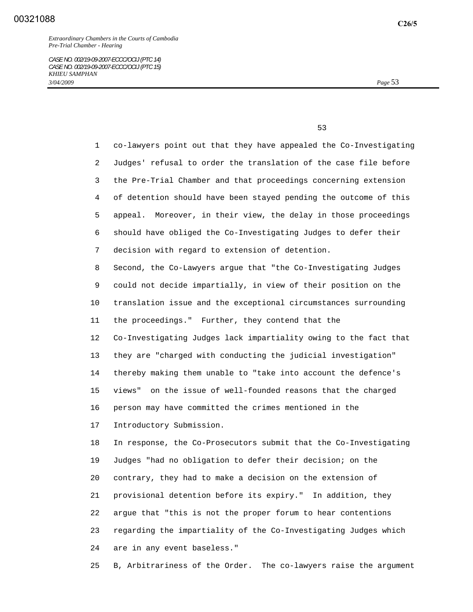$\sim$  53

 1 co-lawyers point out that they have appealed the Co-Investigating 2 Judges' refusal to order the translation of the case file before 3 the Pre-Trial Chamber and that proceedings concerning extension 4 of detention should have been stayed pending the outcome of this 5 appeal. Moreover, in their view, the delay in those proceedings 6 should have obliged the Co-Investigating Judges to defer their 7 decision with regard to extension of detention. 8 Second, the Co-Lawyers argue that "the Co-Investigating Judges 9 could not decide impartially, in view of their position on the 10 translation issue and the exceptional circumstances surrounding 11 the proceedings." Further, they contend that the 12 Co-Investigating Judges lack impartiality owing to the fact that 13 they are "charged with conducting the judicial investigation" 14 thereby making them unable to "take into account the defence's 15 views" on the issue of well-founded reasons that the charged 16 person may have committed the crimes mentioned in the 17 Introductory Submission. 18 In response, the Co-Prosecutors submit that the Co-Investigating 19 Judges "had no obligation to defer their decision; on the 20 contrary, they had to make a decision on the extension of 21 provisional detention before its expiry." In addition, they

 22 argue that "this is not the proper forum to hear contentions 23 regarding the impartiality of the Co-Investigating Judges which 24 are in any event baseless."

25 B, Arbitrariness of the Order. The co-lawyers raise the argument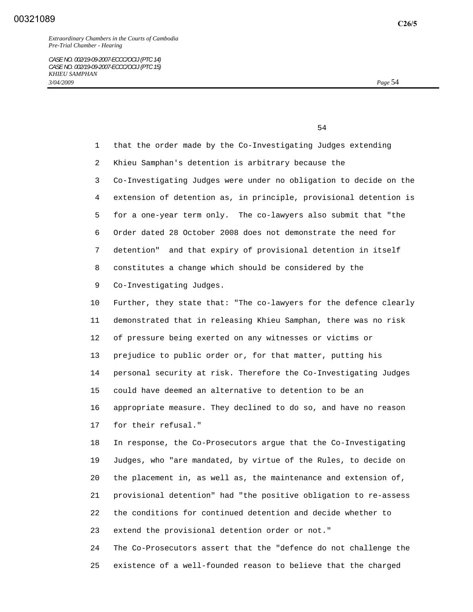1 that the order made by the Co-Investigating Judges extending 2 Khieu Samphan's detention is arbitrary because the 3 Co-Investigating Judges were under no obligation to decide on the 4 extension of detention as, in principle, provisional detention is 5 for a one-year term only. The co-lawyers also submit that "the 6 Order dated 28 October 2008 does not demonstrate the need for 7 detention" and that expiry of provisional detention in itself 8 constitutes a change which should be considered by the 9 Co-Investigating Judges. 10 Further, they state that: "The co-lawyers for the defence clearly 11 demonstrated that in releasing Khieu Samphan, there was no risk 12 of pressure being exerted on any witnesses or victims or 13 prejudice to public order or, for that matter, putting his 14 personal security at risk. Therefore the Co-Investigating Judges 15 could have deemed an alternative to detention to be an 16 appropriate measure. They declined to do so, and have no reason 17 for their refusal." 18 In response, the Co-Prosecutors argue that the Co-Investigating 19 Judges, who "are mandated, by virtue of the Rules, to decide on 20 the placement in, as well as, the maintenance and extension of, 21 provisional detention" had "the positive obligation to re-assess 22 the conditions for continued detention and decide whether to 23 extend the provisional detention order or not." 24 The Co-Prosecutors assert that the "defence do not challenge the 25 existence of a well-founded reason to believe that the charged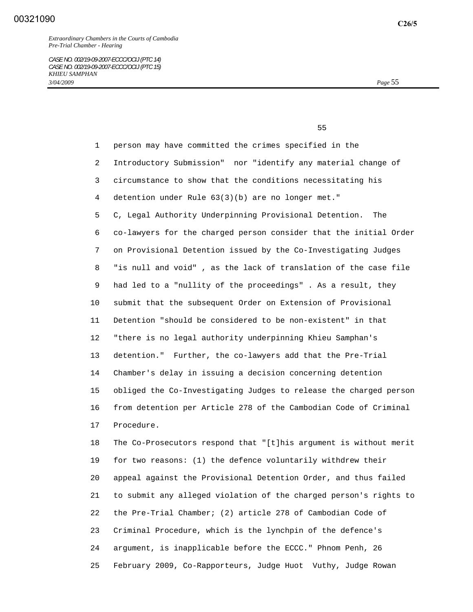*CASE NO. 002/19-09-2007-ECCC/OCIJ (PTC 14) CASE NO. 002/19-09-2007-ECCC/OCIJ (PTC 15) KHIEU SAMPHAN 3/04/2009 Page* 55

 $55$ 

 1 person may have committed the crimes specified in the 2 Introductory Submission" nor "identify any material change of 3 circumstance to show that the conditions necessitating his 4 detention under Rule 63(3)(b) are no longer met." 5 C, Legal Authority Underpinning Provisional Detention. The 6 co-lawyers for the charged person consider that the initial Order 7 on Provisional Detention issued by the Co-Investigating Judges 8 "is null and void" , as the lack of translation of the case file 9 had led to a "nullity of the proceedings" . As a result, they 10 submit that the subsequent Order on Extension of Provisional 11 Detention "should be considered to be non-existent" in that 12 "there is no legal authority underpinning Khieu Samphan's 13 detention." Further, the co-lawyers add that the Pre-Trial 14 Chamber's delay in issuing a decision concerning detention 15 obliged the Co-Investigating Judges to release the charged person 16 from detention per Article 278 of the Cambodian Code of Criminal 17 Procedure.

 18 The Co-Prosecutors respond that "[t]his argument is without merit 19 for two reasons: (1) the defence voluntarily withdrew their 20 appeal against the Provisional Detention Order, and thus failed 21 to submit any alleged violation of the charged person's rights to 22 the Pre-Trial Chamber; (2) article 278 of Cambodian Code of 23 Criminal Procedure, which is the lynchpin of the defence's 24 argument, is inapplicable before the ECCC." Phnom Penh, 26 25 February 2009, Co-Rapporteurs, Judge Huot Vuthy, Judge Rowan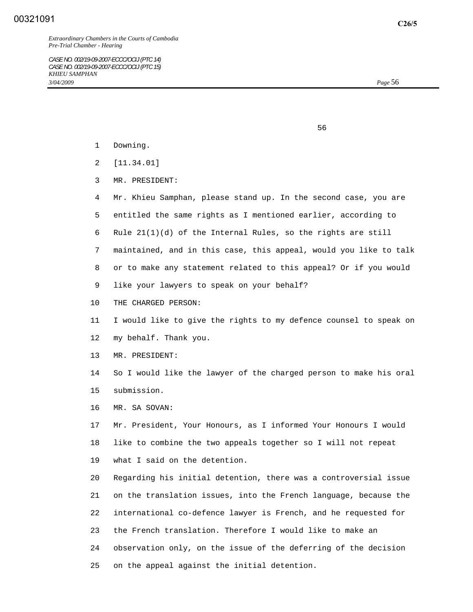*Extraordinary Chambers in the Courts of Cambodia Pre-Trial Chamber - Hearing* 

*CASE NO. 002/19-09-2007-ECCC/OCIJ (PTC 14) CASE NO. 002/19-09-2007-ECCC/OCIJ (PTC 15) KHIEU SAMPHAN 3/04/2009 Page* 56

- 1 Downing.
- 2 [11.34.01]
- 3 MR. PRESIDENT:
- 4 Mr. Khieu Samphan, please stand up. In the second case, you are
- 5 entitled the same rights as I mentioned earlier, according to
- 6 Rule 21(1)(d) of the Internal Rules, so the rights are still
- 7 maintained, and in this case, this appeal, would you like to talk
- 8 or to make any statement related to this appeal? Or if you would
- 9 like your lawyers to speak on your behalf?

 $\sim$  56

- 10 THE CHARGED PERSON:
- 11 I would like to give the rights to my defence counsel to speak on 12 my behalf. Thank you.
- 13 MR. PRESIDENT:
- 14 So I would like the lawyer of the charged person to make his oral 15 submission.
- 16 MR. SA SOVAN:

 17 Mr. President, Your Honours, as I informed Your Honours I would 18 like to combine the two appeals together so I will not repeat 19 what I said on the detention.

 20 Regarding his initial detention, there was a controversial issue 21 on the translation issues, into the French language, because the 22 international co-defence lawyer is French, and he requested for 23 the French translation. Therefore I would like to make an 24 observation only, on the issue of the deferring of the decision 25 on the appeal against the initial detention.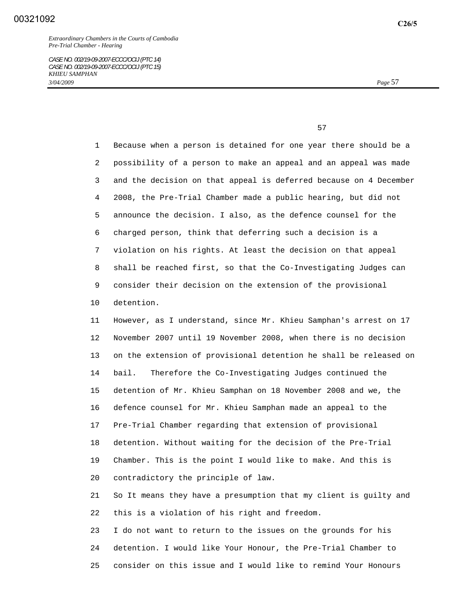1 Because when a person is detained for one year there should be a 2 possibility of a person to make an appeal and an appeal was made 3 and the decision on that appeal is deferred because on 4 December 4 2008, the Pre-Trial Chamber made a public hearing, but did not 5 announce the decision. I also, as the defence counsel for the 6 charged person, think that deferring such a decision is a 7 violation on his rights. At least the decision on that appeal 8 shall be reached first, so that the Co-Investigating Judges can 9 consider their decision on the extension of the provisional 10 detention.

 11 However, as I understand, since Mr. Khieu Samphan's arrest on 17 12 November 2007 until 19 November 2008, when there is no decision 13 on the extension of provisional detention he shall be released on 14 bail. Therefore the Co-Investigating Judges continued the 15 detention of Mr. Khieu Samphan on 18 November 2008 and we, the 16 defence counsel for Mr. Khieu Samphan made an appeal to the 17 Pre-Trial Chamber regarding that extension of provisional 18 detention. Without waiting for the decision of the Pre-Trial 19 Chamber. This is the point I would like to make. And this is 20 contradictory the principle of law.

 21 So It means they have a presumption that my client is guilty and 22 this is a violation of his right and freedom.

 23 I do not want to return to the issues on the grounds for his 24 detention. I would like Your Honour, the Pre-Trial Chamber to 25 consider on this issue and I would like to remind Your Honours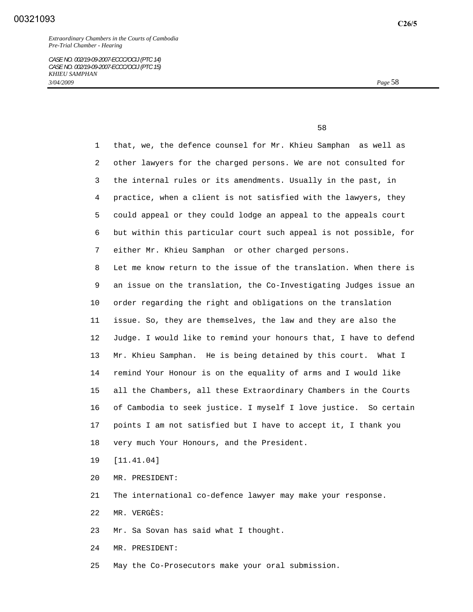$\sim$  58

 1 that, we, the defence counsel for Mr. Khieu Samphan as well as 2 other lawyers for the charged persons. We are not consulted for 3 the internal rules or its amendments. Usually in the past, in 4 practice, when a client is not satisfied with the lawyers, they 5 could appeal or they could lodge an appeal to the appeals court 6 but within this particular court such appeal is not possible, for 7 either Mr. Khieu Samphan or other charged persons. 8 Let me know return to the issue of the translation. When there is 9 an issue on the translation, the Co-Investigating Judges issue an 10 order regarding the right and obligations on the translation 11 issue. So, they are themselves, the law and they are also the 12 Judge. I would like to remind your honours that, I have to defend 13 Mr. Khieu Samphan. He is being detained by this court. What I 14 remind Your Honour is on the equality of arms and I would like 15 all the Chambers, all these Extraordinary Chambers in the Courts 16 of Cambodia to seek justice. I myself I love justice. So certain 17 points I am not satisfied but I have to accept it, I thank you 18 very much Your Honours, and the President.

19 [11.41.04]

20 MR. PRESIDENT:

21 The international co-defence lawyer may make your response.

22 MR. VERGÈS:

23 Mr. Sa Sovan has said what I thought.

24 MR. PRESIDENT:

25 May the Co-Prosecutors make your oral submission.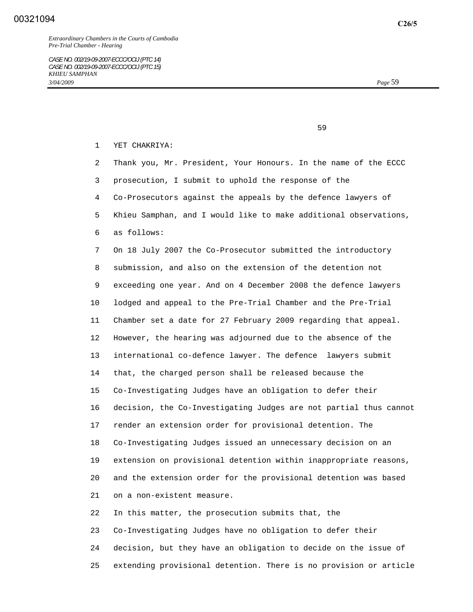$\sim$  59

1 YET CHAKRIYA:

 2 Thank you, Mr. President, Your Honours. In the name of the ECCC 3 prosecution, I submit to uphold the response of the 4 Co-Prosecutors against the appeals by the defence lawyers of 5 Khieu Samphan, and I would like to make additional observations, 6 as follows: 7 On 18 July 2007 the Co-Prosecutor submitted the introductory 8 submission, and also on the extension of the detention not 9 exceeding one year. And on 4 December 2008 the defence lawyers 10 lodged and appeal to the Pre-Trial Chamber and the Pre-Trial 11 Chamber set a date for 27 February 2009 regarding that appeal. 12 However, the hearing was adjourned due to the absence of the 13 international co-defence lawyer. The defence lawyers submit 14 that, the charged person shall be released because the 15 Co-Investigating Judges have an obligation to defer their 16 decision, the Co-Investigating Judges are not partial thus cannot 17 render an extension order for provisional detention. The 18 Co-Investigating Judges issued an unnecessary decision on an 19 extension on provisional detention within inappropriate reasons, 20 and the extension order for the provisional detention was based 21 on a non-existent measure. 22 In this matter, the prosecution submits that, the 23 Co-Investigating Judges have no obligation to defer their

 24 decision, but they have an obligation to decide on the issue of 25 extending provisional detention. There is no provision or article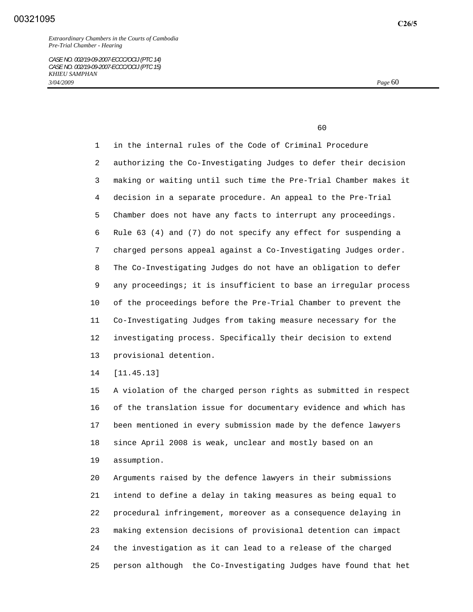*CASE NO. 002/19-09-2007-ECCC/OCIJ (PTC 14) CASE NO. 002/19-09-2007-ECCC/OCIJ (PTC 15) KHIEU SAMPHAN 3/04/2009 Page* 60

60

 1 in the internal rules of the Code of Criminal Procedure 2 authorizing the Co-Investigating Judges to defer their decision 3 making or waiting until such time the Pre-Trial Chamber makes it 4 decision in a separate procedure. An appeal to the Pre-Trial 5 Chamber does not have any facts to interrupt any proceedings. 6 Rule 63 (4) and (7) do not specify any effect for suspending a 7 charged persons appeal against a Co-Investigating Judges order. 8 The Co-Investigating Judges do not have an obligation to defer 9 any proceedings; it is insufficient to base an irregular process 10 of the proceedings before the Pre-Trial Chamber to prevent the 11 Co-Investigating Judges from taking measure necessary for the 12 investigating process. Specifically their decision to extend 13 provisional detention.

14 [11.45.13]

 15 A violation of the charged person rights as submitted in respect 16 of the translation issue for documentary evidence and which has 17 been mentioned in every submission made by the defence lawyers 18 since April 2008 is weak, unclear and mostly based on an 19 assumption.

 20 Arguments raised by the defence lawyers in their submissions 21 intend to define a delay in taking measures as being equal to 22 procedural infringement, moreover as a consequence delaying in 23 making extension decisions of provisional detention can impact 24 the investigation as it can lead to a release of the charged 25 person although the Co-Investigating Judges have found that het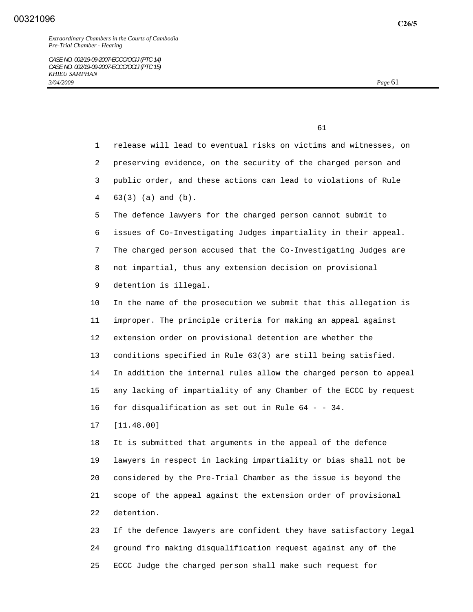1 release will lead to eventual risks on victims and witnesses, on 2 preserving evidence, on the security of the charged person and 3 public order, and these actions can lead to violations of Rule 4 63(3) (a) and (b). 5 The defence lawyers for the charged person cannot submit to 6 issues of Co-Investigating Judges impartiality in their appeal. 7 The charged person accused that the Co-Investigating Judges are 8 not impartial, thus any extension decision on provisional 9 detention is illegal. 10 In the name of the prosecution we submit that this allegation is 11 improper. The principle criteria for making an appeal against

 12 extension order on provisional detention are whether the 13 conditions specified in Rule 63(3) are still being satisfied. 14 In addition the internal rules allow the charged person to appeal 15 any lacking of impartiality of any Chamber of the ECCC by request 16 for disqualification as set out in Rule 64 - - 34.

17 [11.48.00]

 18 It is submitted that arguments in the appeal of the defence 19 lawyers in respect in lacking impartiality or bias shall not be 20 considered by the Pre-Trial Chamber as the issue is beyond the 21 scope of the appeal against the extension order of provisional 22 detention.

 23 If the defence lawyers are confident they have satisfactory legal 24 ground fro making disqualification request against any of the 25 ECCC Judge the charged person shall make such request for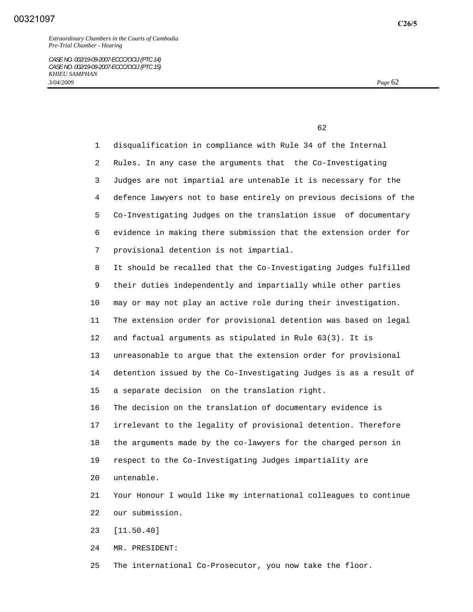*CASE NO. 002/19-09-2007-ECCC/OCIJ (PTC 14) CASE NO. 002/19-09-2007-ECCC/OCIJ (PTC 15) KHIEU SAMPHAN 3/04/2009 Page* 62

 $\sim$  62

 1 disqualification in compliance with Rule 34 of the Internal 2 Rules. In any case the arguments that the Co-Investigating 3 Judges are not impartial are untenable it is necessary for the 4 defence lawyers not to base entirely on previous decisions of the 5 Co-Investigating Judges on the translation issue of documentary 6 evidence in making there submission that the extension order for 7 provisional detention is not impartial. 8 It should be recalled that the Co-Investigating Judges fulfilled 9 their duties independently and impartially while other parties 10 may or may not play an active role during their investigation. 11 The extension order for provisional detention was based on legal 12 and factual arguments as stipulated in Rule 63(3). It is 13 unreasonable to argue that the extension order for provisional 14 detention issued by the Co-Investigating Judges is as a result of 15 a separate decision on the translation right. 16 The decision on the translation of documentary evidence is 17 irrelevant to the legality of provisional detention. Therefore 18 the arguments made by the co-lawyers for the charged person in 19 respect to the Co-Investigating Judges impartiality are 20 untenable. 21 Your Honour I would like my international colleagues to continue 22 our submission.

23 [11.50.40]

24 MR. PRESIDENT:

25 The international Co-Prosecutor, you now take the floor.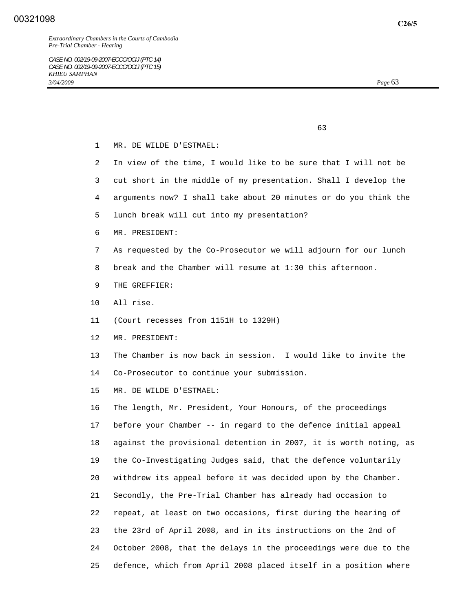1 MR. DE WILDE D'ESTMAEL:

- 2 In view of the time, I would like to be sure that I will not be
- 3 cut short in the middle of my presentation. Shall I develop the
- 4 arguments now? I shall take about 20 minutes or do you think the
- 5 lunch break will cut into my presentation?

 $\sim$  63

- 6 MR. PRESIDENT:
- 7 As requested by the Co-Prosecutor we will adjourn for our lunch
- 8 break and the Chamber will resume at 1:30 this afternoon.
- 9 THE GREFFIER:
- 10 All rise.
- 11 (Court recesses from 1151H to 1329H)
- 12 MR. PRESIDENT:
- 13 The Chamber is now back in session. I would like to invite the 14 Co-Prosecutor to continue your submission.
- 15 MR. DE WILDE D'ESTMAEL:

 16 The length, Mr. President, Your Honours, of the proceedings 17 before your Chamber -- in regard to the defence initial appeal 18 against the provisional detention in 2007, it is worth noting, as 19 the Co-Investigating Judges said, that the defence voluntarily 20 withdrew its appeal before it was decided upon by the Chamber. 21 Secondly, the Pre-Trial Chamber has already had occasion to 22 repeat, at least on two occasions, first during the hearing of 23 the 23rd of April 2008, and in its instructions on the 2nd of 24 October 2008, that the delays in the proceedings were due to the 25 defence, which from April 2008 placed itself in a position where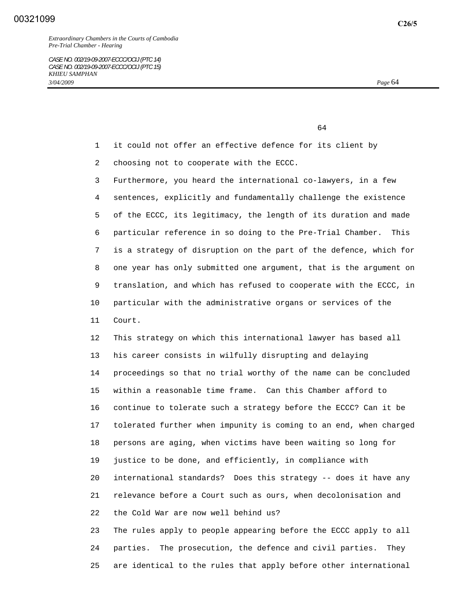- 1 it could not offer an effective defence for its client by
- 2 choosing not to cooperate with the ECCC.

 3 Furthermore, you heard the international co-lawyers, in a few 4 sentences, explicitly and fundamentally challenge the existence 5 of the ECCC, its legitimacy, the length of its duration and made 6 particular reference in so doing to the Pre-Trial Chamber. This 7 is a strategy of disruption on the part of the defence, which for 8 one year has only submitted one argument, that is the argument on 9 translation, and which has refused to cooperate with the ECCC, in 10 particular with the administrative organs or services of the 11 Court.

 12 This strategy on which this international lawyer has based all 13 his career consists in wilfully disrupting and delaying 14 proceedings so that no trial worthy of the name can be concluded 15 within a reasonable time frame. Can this Chamber afford to 16 continue to tolerate such a strategy before the ECCC? Can it be 17 tolerated further when impunity is coming to an end, when charged 18 persons are aging, when victims have been waiting so long for 19 justice to be done, and efficiently, in compliance with 20 international standards? Does this strategy -- does it have any 21 relevance before a Court such as ours, when decolonisation and 22 the Cold War are now well behind us?

 23 The rules apply to people appearing before the ECCC apply to all 24 parties. The prosecution, the defence and civil parties. They 25 are identical to the rules that apply before other international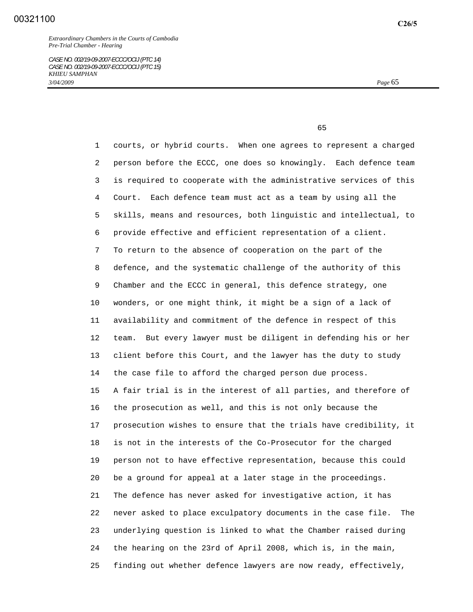$\sim$  65

 1 courts, or hybrid courts. When one agrees to represent a charged 2 person before the ECCC, one does so knowingly. Each defence team 3 is required to cooperate with the administrative services of this 4 Court. Each defence team must act as a team by using all the 5 skills, means and resources, both linguistic and intellectual, to 6 provide effective and efficient representation of a client. 7 To return to the absence of cooperation on the part of the 8 defence, and the systematic challenge of the authority of this 9 Chamber and the ECCC in general, this defence strategy, one 10 wonders, or one might think, it might be a sign of a lack of 11 availability and commitment of the defence in respect of this 12 team. But every lawyer must be diligent in defending his or her 13 client before this Court, and the lawyer has the duty to study 14 the case file to afford the charged person due process. 15 A fair trial is in the interest of all parties, and therefore of 16 the prosecution as well, and this is not only because the 17 prosecution wishes to ensure that the trials have credibility, it 18 is not in the interests of the Co-Prosecutor for the charged 19 person not to have effective representation, because this could 20 be a ground for appeal at a later stage in the proceedings. 21 The defence has never asked for investigative action, it has 22 never asked to place exculpatory documents in the case file. The 23 underlying question is linked to what the Chamber raised during 24 the hearing on the 23rd of April 2008, which is, in the main, 25 finding out whether defence lawyers are now ready, effectively,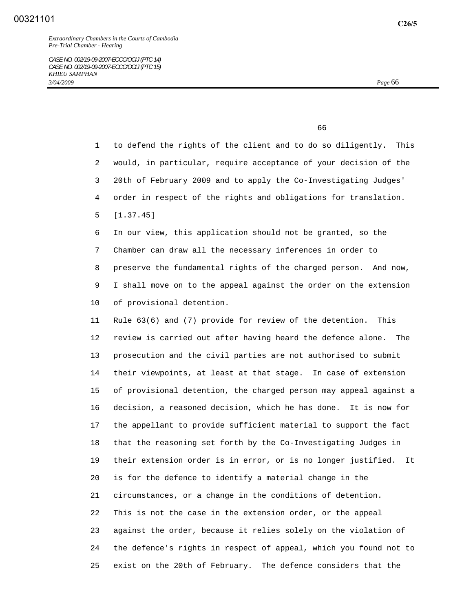$\sim$  66

 1 to defend the rights of the client and to do so diligently. This 2 would, in particular, require acceptance of your decision of the 3 20th of February 2009 and to apply the Co-Investigating Judges' 4 order in respect of the rights and obligations for translation. 5 [1.37.45] 6 In our view, this application should not be granted, so the 7 Chamber can draw all the necessary inferences in order to 8 preserve the fundamental rights of the charged person. And now, 9 I shall move on to the appeal against the order on the extension 10 of provisional detention. 11 Rule 63(6) and (7) provide for review of the detention. This 12 review is carried out after having heard the defence alone. The 13 prosecution and the civil parties are not authorised to submit 14 their viewpoints, at least at that stage. In case of extension 15 of provisional detention, the charged person may appeal against a 16 decision, a reasoned decision, which he has done. It is now for 17 the appellant to provide sufficient material to support the fact 18 that the reasoning set forth by the Co-Investigating Judges in 19 their extension order is in error, or is no longer justified. It 20 is for the defence to identify a material change in the 21 circumstances, or a change in the conditions of detention. 22 This is not the case in the extension order, or the appeal 23 against the order, because it relies solely on the violation of 24 the defence's rights in respect of appeal, which you found not to 25 exist on the 20th of February. The defence considers that the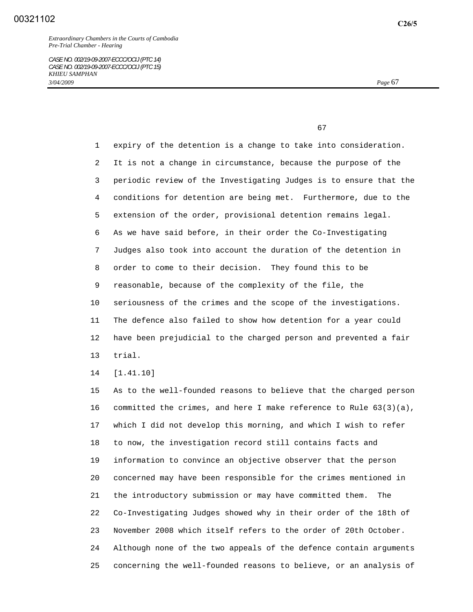*CASE NO. 002/19-09-2007-ECCC/OCIJ (PTC 14) CASE NO. 002/19-09-2007-ECCC/OCIJ (PTC 15) KHIEU SAMPHAN 3/04/2009 Page* 67

67

 1 expiry of the detention is a change to take into consideration. 2 It is not a change in circumstance, because the purpose of the 3 periodic review of the Investigating Judges is to ensure that the 4 conditions for detention are being met. Furthermore, due to the 5 extension of the order, provisional detention remains legal. 6 As we have said before, in their order the Co-Investigating 7 Judges also took into account the duration of the detention in 8 order to come to their decision. They found this to be 9 reasonable, because of the complexity of the file, the 10 seriousness of the crimes and the scope of the investigations. 11 The defence also failed to show how detention for a year could 12 have been prejudicial to the charged person and prevented a fair 13 trial.

14 [1.41.10]

 15 As to the well-founded reasons to believe that the charged person 16 committed the crimes, and here I make reference to Rule  $63(3)(a)$ , 17 which I did not develop this morning, and which I wish to refer 18 to now, the investigation record still contains facts and 19 information to convince an objective observer that the person 20 concerned may have been responsible for the crimes mentioned in 21 the introductory submission or may have committed them. The 22 Co-Investigating Judges showed why in their order of the 18th of 23 November 2008 which itself refers to the order of 20th October. 24 Although none of the two appeals of the defence contain arguments 25 concerning the well-founded reasons to believe, or an analysis of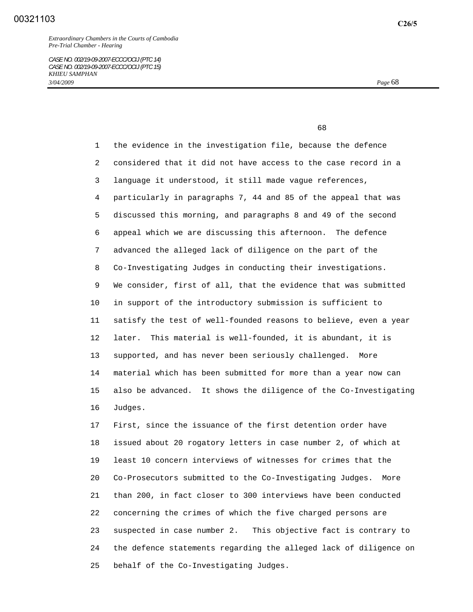*CASE NO. 002/19-09-2007-ECCC/OCIJ (PTC 14) CASE NO. 002/19-09-2007-ECCC/OCIJ (PTC 15) KHIEU SAMPHAN 3/04/2009 Page* 68

 $\sim$  68

 1 the evidence in the investigation file, because the defence 2 considered that it did not have access to the case record in a 3 language it understood, it still made vague references, 4 particularly in paragraphs 7, 44 and 85 of the appeal that was 5 discussed this morning, and paragraphs 8 and 49 of the second 6 appeal which we are discussing this afternoon. The defence 7 advanced the alleged lack of diligence on the part of the 8 Co-Investigating Judges in conducting their investigations. 9 We consider, first of all, that the evidence that was submitted 10 in support of the introductory submission is sufficient to 11 satisfy the test of well-founded reasons to believe, even a year 12 later. This material is well-founded, it is abundant, it is 13 supported, and has never been seriously challenged. More 14 material which has been submitted for more than a year now can 15 also be advanced. It shows the diligence of the Co-Investigating 16 Judges.

 17 First, since the issuance of the first detention order have 18 issued about 20 rogatory letters in case number 2, of which at 19 least 10 concern interviews of witnesses for crimes that the 20 Co-Prosecutors submitted to the Co-Investigating Judges. More 21 than 200, in fact closer to 300 interviews have been conducted 22 concerning the crimes of which the five charged persons are 23 suspected in case number 2. This objective fact is contrary to 24 the defence statements regarding the alleged lack of diligence on 25 behalf of the Co-Investigating Judges.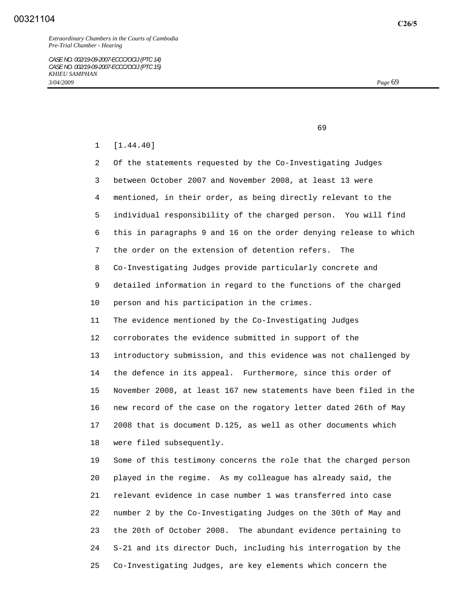*Extraordinary Chambers in the Courts of Cambodia Pre-Trial Chamber - Hearing* 

*CASE NO. 002/19-09-2007-ECCC/OCIJ (PTC 14) CASE NO. 002/19-09-2007-ECCC/OCIJ (PTC 15) KHIEU SAMPHAN 3/04/2009 Page* 69

 $\sim$  69

1 [1.44.40]

 2 Of the statements requested by the Co-Investigating Judges 3 between October 2007 and November 2008, at least 13 were 4 mentioned, in their order, as being directly relevant to the 5 individual responsibility of the charged person. You will find 6 this in paragraphs 9 and 16 on the order denying release to which 7 the order on the extension of detention refers. The 8 Co-Investigating Judges provide particularly concrete and 9 detailed information in regard to the functions of the charged 10 person and his participation in the crimes. 11 The evidence mentioned by the Co-Investigating Judges 12 corroborates the evidence submitted in support of the 13 introductory submission, and this evidence was not challenged by 14 the defence in its appeal. Furthermore, since this order of 15 November 2008, at least 167 new statements have been filed in the 16 new record of the case on the rogatory letter dated 26th of May 17 2008 that is document D.125, as well as other documents which 18 were filed subsequently. 19 Some of this testimony concerns the role that the charged person 20 played in the regime. As my colleague has already said, the 21 relevant evidence in case number 1 was transferred into case 22 number 2 by the Co-Investigating Judges on the 30th of May and 23 the 20th of October 2008. The abundant evidence pertaining to 24 S-21 and its director Duch, including his interrogation by the

25 Co-Investigating Judges, are key elements which concern the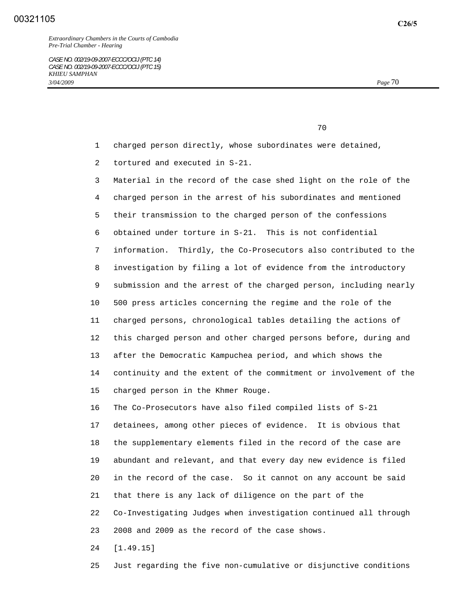- 1 charged person directly, whose subordinates were detained,
- 2 tortured and executed in S-21.

 3 Material in the record of the case shed light on the role of the 4 charged person in the arrest of his subordinates and mentioned 5 their transmission to the charged person of the confessions 6 obtained under torture in S-21. This is not confidential 7 information. Thirdly, the Co-Prosecutors also contributed to the 8 investigation by filing a lot of evidence from the introductory 9 submission and the arrest of the charged person, including nearly 10 500 press articles concerning the regime and the role of the 11 charged persons, chronological tables detailing the actions of 12 this charged person and other charged persons before, during and 13 after the Democratic Kampuchea period, and which shows the 14 continuity and the extent of the commitment or involvement of the 15 charged person in the Khmer Rouge.

 16 The Co-Prosecutors have also filed compiled lists of S-21 17 detainees, among other pieces of evidence. It is obvious that 18 the supplementary elements filed in the record of the case are 19 abundant and relevant, and that every day new evidence is filed 20 in the record of the case. So it cannot on any account be said 21 that there is any lack of diligence on the part of the 22 Co-Investigating Judges when investigation continued all through 23 2008 and 2009 as the record of the case shows.

24 [1.49.15]

25 Just regarding the five non-cumulative or disjunctive conditions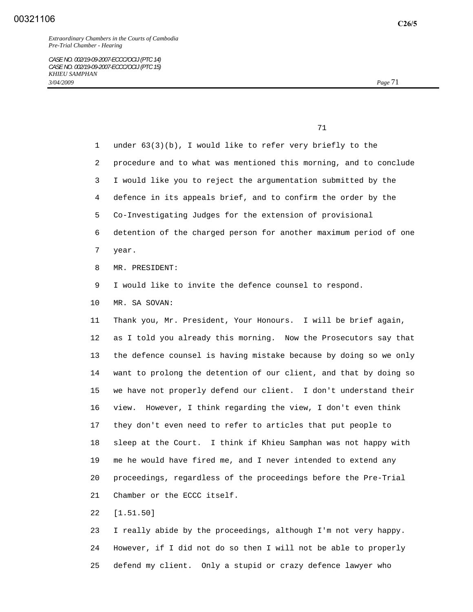## 00321106

*Extraordinary Chambers in the Courts of Cambodia Pre-Trial Chamber - Hearing* 

*CASE NO. 002/19-09-2007-ECCC/OCIJ (PTC 14) CASE NO. 002/19-09-2007-ECCC/OCIJ (PTC 15) KHIEU SAMPHAN 3/04/2009 Page* 71

71

 1 under 63(3)(b), I would like to refer very briefly to the 2 procedure and to what was mentioned this morning, and to conclude 3 I would like you to reject the argumentation submitted by the 4 defence in its appeals brief, and to confirm the order by the 5 Co-Investigating Judges for the extension of provisional 6 detention of the charged person for another maximum period of one 7 year. 8 MR. PRESIDENT: 9 I would like to invite the defence counsel to respond. 10 MR. SA SOVAN: 11 Thank you, Mr. President, Your Honours. I will be brief again, 12 as I told you already this morning. Now the Prosecutors say that 13 the defence counsel is having mistake because by doing so we only 14 want to prolong the detention of our client, and that by doing so 15 we have not properly defend our client. I don't understand their 16 view. However, I think regarding the view, I don't even think 17 they don't even need to refer to articles that put people to 18 sleep at the Court. I think if Khieu Samphan was not happy with 19 me he would have fired me, and I never intended to extend any 20 proceedings, regardless of the proceedings before the Pre-Trial 21 Chamber or the ECCC itself. 22 [1.51.50]

 23 I really abide by the proceedings, although I'm not very happy. 24 However, if I did not do so then I will not be able to properly 25 defend my client. Only a stupid or crazy defence lawyer who

**C26/5**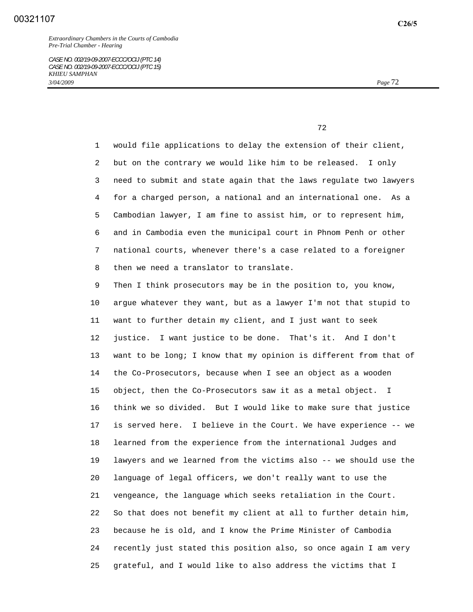*Extraordinary Chambers in the Courts of Cambodia Pre-Trial Chamber - Hearing* 

*CASE NO. 002/19-09-2007-ECCC/OCIJ (PTC 14) CASE NO. 002/19-09-2007-ECCC/OCIJ (PTC 15) KHIEU SAMPHAN 3/04/2009 Page* 72

<u>72</u> and 2012 and 2012 and 2012 and 2012 and 2012 and 2012 and 2012 and 2012 and 2012 and 2012 and 2012 and 2012 and 2012 and 2012 and 2012 and 2012 and 2012 and 2012 and 2012 and 2012 and 2012 and 2012 and 2012 and 2012

 1 would file applications to delay the extension of their client, 2 but on the contrary we would like him to be released. I only 3 need to submit and state again that the laws regulate two lawyers 4 for a charged person, a national and an international one. As a 5 Cambodian lawyer, I am fine to assist him, or to represent him, 6 and in Cambodia even the municipal court in Phnom Penh or other 7 national courts, whenever there's a case related to a foreigner 8 then we need a translator to translate.

 9 Then I think prosecutors may be in the position to, you know, 10 argue whatever they want, but as a lawyer I'm not that stupid to 11 want to further detain my client, and I just want to seek 12 justice. I want justice to be done. That's it. And I don't 13 want to be long; I know that my opinion is different from that of 14 the Co-Prosecutors, because when I see an object as a wooden 15 object, then the Co-Prosecutors saw it as a metal object. I 16 think we so divided. But I would like to make sure that justice 17 is served here. I believe in the Court. We have experience -- we 18 learned from the experience from the international Judges and 19 lawyers and we learned from the victims also -- we should use the 20 language of legal officers, we don't really want to use the 21 vengeance, the language which seeks retaliation in the Court. 22 So that does not benefit my client at all to further detain him, 23 because he is old, and I know the Prime Minister of Cambodia 24 recently just stated this position also, so once again I am very 25 grateful, and I would like to also address the victims that I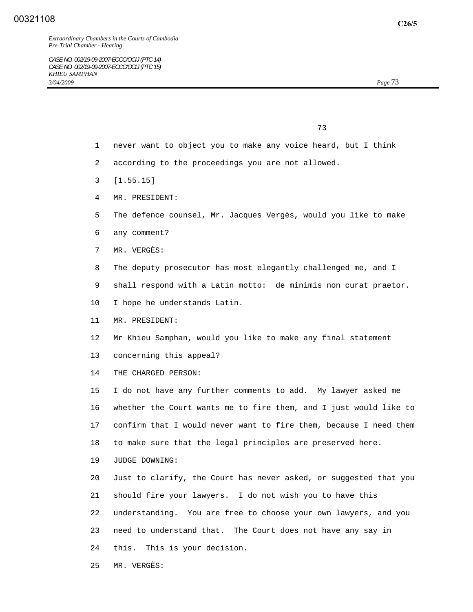## 00321108

73

- 1 never want to object you to make any voice heard, but I think
- 2 according to the proceedings you are not allowed.
- 3 [1.55.15]
- 4 MR. PRESIDENT:
- 5 The defence counsel, Mr. Jacques Vergès, would you like to make
- 6 any comment?
- 7 MR. VERGÈS:
- 8 The deputy prosecutor has most elegantly challenged me, and I
- 9 shall respond with a Latin motto: de minimis non curat praetor.
- 10 I hope he understands Latin.
- 11 MR. PRESIDENT:
- 12 Mr Khieu Samphan, would you like to make any final statement
- 13 concerning this appeal?
- 14 THE CHARGED PERSON:

 15 I do not have any further comments to add. My lawyer asked me 16 whether the Court wants me to fire them, and I just would like to 17 confirm that I would never want to fire them, because I need them 18 to make sure that the legal principles are preserved here.

19 JUDGE DOWNING:

 20 Just to clarify, the Court has never asked, or suggested that you 21 should fire your lawyers. I do not wish you to have this 22 understanding. You are free to choose your own lawyers, and you 23 need to understand that. The Court does not have any say in 24 this. This is your decision.

25 MR. VERGÈS: